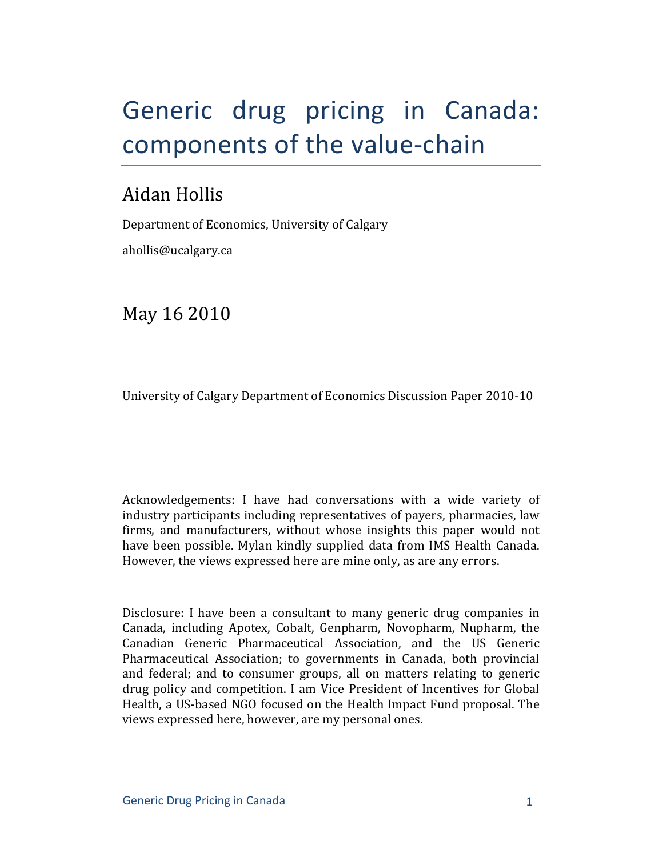# Generic drug pricing in Canada: components of the value-chain

# Aidan Hollis

Department of Economics, University of Calgary ahollis@ucalgary.ca

May 16 2010

University of Calgary Department of Economics Discussion Paper 2010-10

Acknowledgements: I have had conversations with a wide variety of industry participants including representatives of payers, pharmacies, law firms, and manufacturers, without whose insights this paper would not have been possible. Mylan kindly supplied data from IMS Health Canada. However, the views expressed here are mine only, as are any errors.

Disclosure: I have been a consultant to many generic drug companies in Canada, including Apotex, Cobalt, Genpharm, Novopharm, Nupharm, the Canadian Generic Pharmaceutical Association, and the US Generic Pharmaceutical Association; to governments in Canada, both provincial and federal; and to consumer groups, all on matters relating to generic drug policy and competition. I am Vice President of Incentives for Global Health, a US-based NGO focused on the Health Impact Fund proposal. The views expressed here, however, are my personal ones.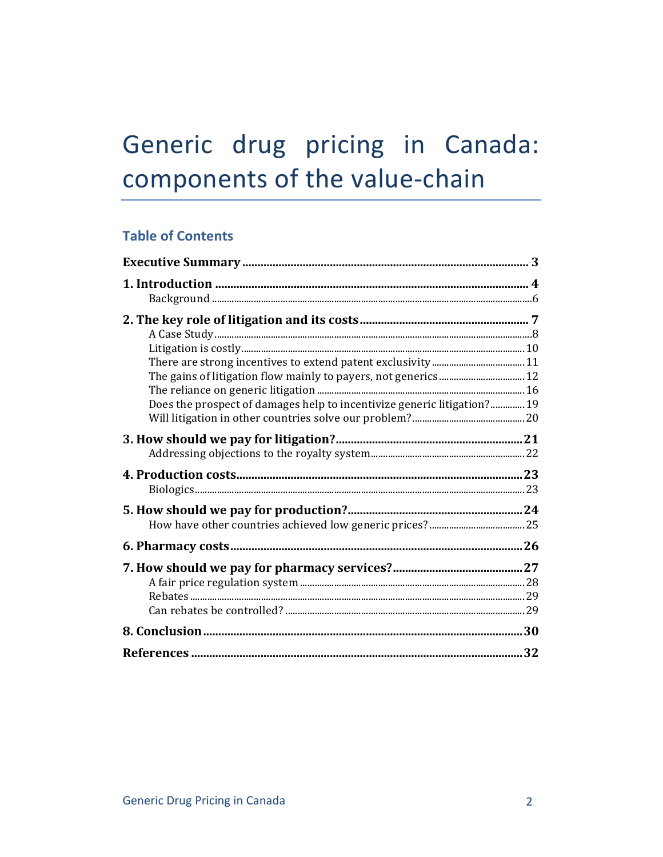# Generic drug pricing in Canada: components of the value-chain

# **Table of Contents**

| Does the prospect of damages help to incentivize generic litigation?19 |  |
|------------------------------------------------------------------------|--|
|                                                                        |  |
|                                                                        |  |
|                                                                        |  |
|                                                                        |  |
|                                                                        |  |
|                                                                        |  |
|                                                                        |  |
|                                                                        |  |
|                                                                        |  |
|                                                                        |  |
|                                                                        |  |
|                                                                        |  |
|                                                                        |  |
|                                                                        |  |
|                                                                        |  |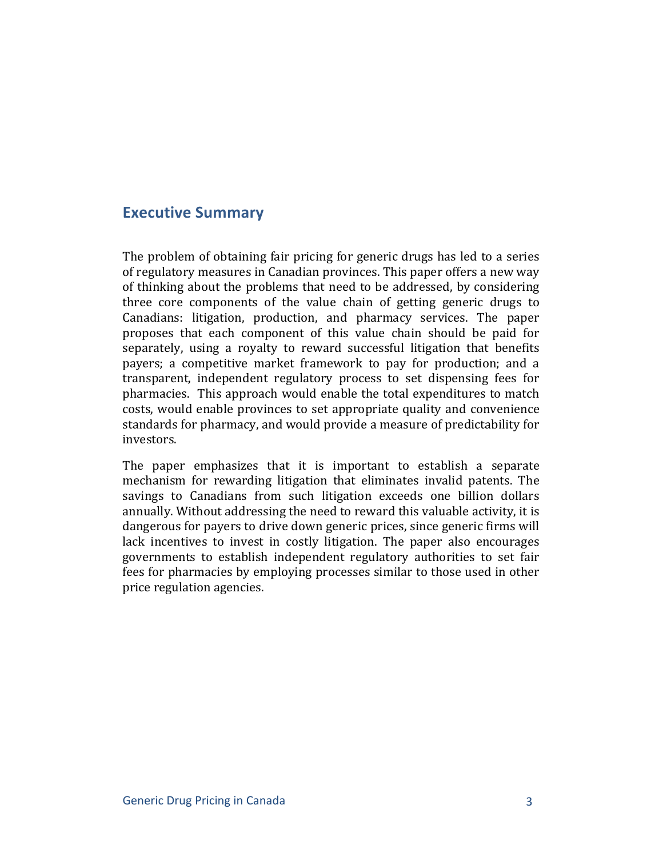# **Executive Summary**

The problem of obtaining fair pricing for generic drugs has led to a series of regulatory measures in Canadian provinces. This paper offers a new way of thinking about the problems that need to be addressed, by considering three core components of the value chain of getting generic drugs to Canadians: litigation, production, and pharmacy services. The paper proposes that each component of this value chain should be paid for separately, using a royalty to reward successful litigation that benefits payers; a competitive market framework to pay for production; and a transparent, independent regulatory process to set dispensing fees for pharmacies. This approach would enable the total expenditures to match costs, would enable provinces to set appropriate quality and convenience standards for pharmacy, and would provide a measure of predictability for investors.

The paper emphasizes that it is important to establish a separate mechanism for rewarding litigation that eliminates invalid patents. The savings to Canadians from such litigation exceeds one billion dollars annually. Without addressing the need to reward this valuable activity, it is dangerous for payers to drive down generic prices, since generic firms will lack incentives to invest in costly litigation. The paper also encourages governments to establish independent regulatory authorities to set fair fees for pharmacies by employing processes similar to those used in other price regulation agencies.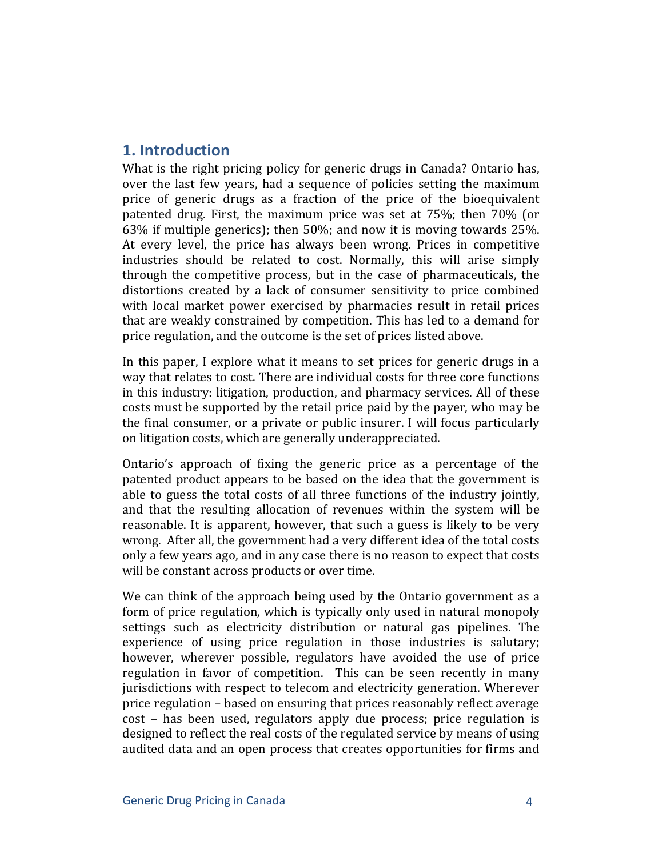# **1.** Introduction

What is the right pricing policy for generic drugs in Canada? Ontario has, over the last few years, had a sequence of policies setting the maximum price of generic drugs as a fraction of the price of the bioequivalent patented drug. First, the maximum price was set at 75%; then 70% (or 63% if multiple generics); then  $50\%$ ; and now it is moving towards 25%. At every level, the price has always been wrong. Prices in competitive industries should be related to cost. Normally, this will arise simply through the competitive process, but in the case of pharmaceuticals, the distortions created by a lack of consumer sensitivity to price combined with local market power exercised by pharmacies result in retail prices that are weakly constrained by competition. This has led to a demand for price regulation, and the outcome is the set of prices listed above.

In this paper, I explore what it means to set prices for generic drugs in a way that relates to cost. There are individual costs for three core functions in this industry: litigation, production, and pharmacy services. All of these costs must be supported by the retail price paid by the payer, who may be the final consumer, or a private or public insurer. I will focus particularly on litigation costs, which are generally underappreciated.

Ontario's approach of fixing the generic price as a percentage of the patented product appears to be based on the idea that the government is able to guess the total costs of all three functions of the industry jointly, and that the resulting allocation of revenues within the system will be reasonable. It is apparent, however, that such a guess is likely to be very wrong. After all, the government had a very different idea of the total costs only a few years ago, and in any case there is no reason to expect that costs will be constant across products or over time.

We can think of the approach being used by the Ontario government as a form of price regulation, which is typically only used in natural monopoly settings such as electricity distribution or natural gas pipelines. The experience of using price regulation in those industries is salutary; however, wherever possible, regulators have avoided the use of price regulation in favor of competition. This can be seen recently in many jurisdictions with respect to telecom and electricity generation. Wherever price regulation – based on ensuring that prices reasonably reflect average cost – has been used, regulators apply due process; price regulation is designed to reflect the real costs of the regulated service by means of using audited data and an open process that creates opportunities for firms and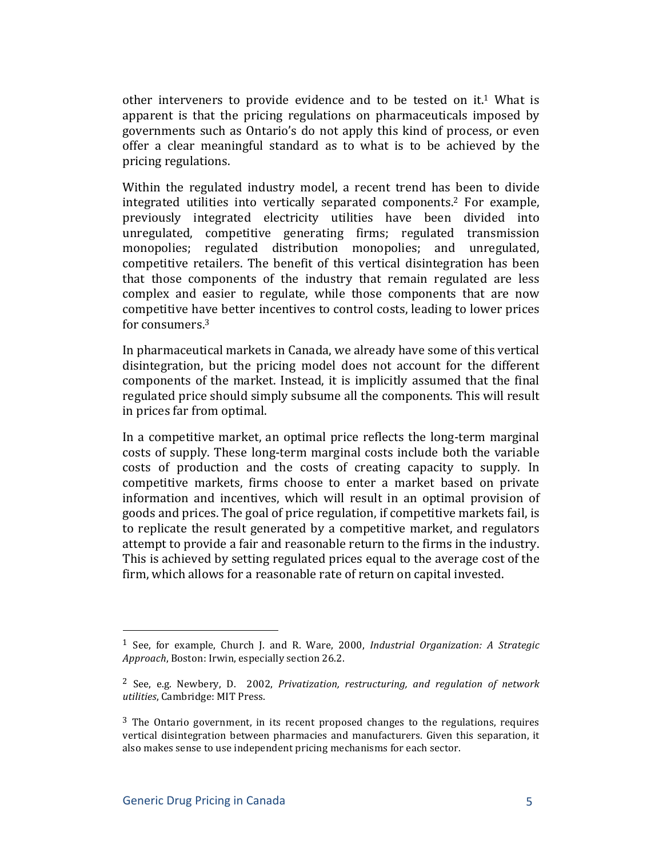other interveners to provide evidence and to be tested on  $it<sup>1</sup>$ . What is apparent is that the pricing regulations on pharmaceuticals imposed by governments such as Ontario's do not apply this kind of process, or even offer a clear meaningful standard as to what is to be achieved by the pricing regulations.

Within the regulated industry model, a recent trend has been to divide integrated utilities into vertically separated components.<sup>2</sup> For example, previously integrated electricity utilities have been divided into unregulated, competitive generating firms; regulated transmission monopolies; regulated distribution monopolies; and unregulated, competitive retailers. The benefit of this vertical disintegration has been that those components of the industry that remain regulated are less complex and easier to regulate, while those components that are now competitive have better incentives to control costs, leading to lower prices for consumers.<sup>3</sup>

In pharmaceutical markets in Canada, we already have some of this vertical disintegration, but the pricing model does not account for the different components of the market. Instead, it is implicitly assumed that the final regulated price should simply subsume all the components. This will result in prices far from optimal.

In a competitive market, an optimal price reflects the long-term marginal costs of supply. These long-term marginal costs include both the variable costs of production and the costs of creating capacity to supply. In competitive markets, firms choose to enter a market based on private information and incentives, which will result in an optimal provision of goods and prices. The goal of price regulation, if competitive markets fail, is to replicate the result generated by a competitive market, and regulators attempt to provide a fair and reasonable return to the firms in the industry. This is achieved by setting regulated prices equal to the average cost of the firm, which allows for a reasonable rate of return on capital invested.

<sup>&</sup>lt;sup>1</sup> See, for example, Church J. and R. Ware, 2000, *Industrial Organization: A Strategic Approach*, Boston: Irwin, especially section 26.2.

<sup>&</sup>lt;sup>2</sup> See, e.g. Newbery, D. 2002, *Privatization, restructuring, and regulation of network utilities*, Cambridge: MIT Press.

 $3$  The Ontario government, in its recent proposed changes to the regulations, requires vertical disintegration between pharmacies and manufacturers. Given this separation, it also makes sense to use independent pricing mechanisms for each sector.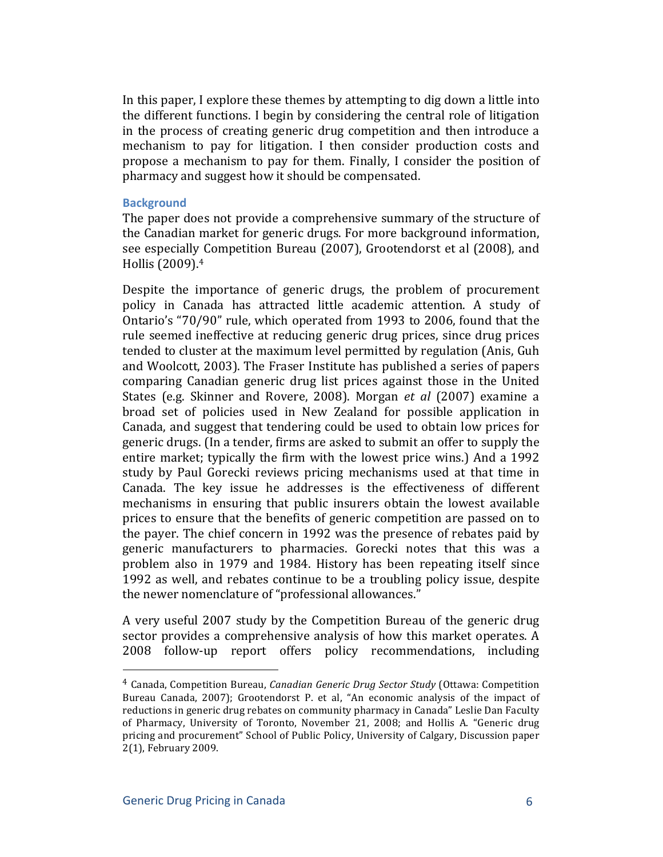In this paper, I explore these themes by attempting to dig down a little into the different functions. I begin by considering the central role of litigation in the process of creating generic drug competition and then introduce a mechanism to pay for litigation. I then consider production costs and propose a mechanism to pay for them. Finally, I consider the position of pharmacy and suggest how it should be compensated.

#### **Background**

The paper does not provide a comprehensive summary of the structure of the Canadian market for generic drugs. For more background information, see especially Competition Bureau (2007), Grootendorst et al (2008), and Hollis (2009).<sup>4</sup>

Despite the importance of generic drugs, the problem of procurement policy in Canada has attracted little academic attention. A study of Ontario's "70/90" rule, which operated from 1993 to 2006, found that the rule seemed ineffective at reducing generic drug prices, since drug prices tended to cluster at the maximum level permitted by regulation (Anis, Guh) and Woolcott, 2003). The Fraser Institute has published a series of papers comparing Canadian generic drug list prices against those in the United States (e.g. Skinner and Rovere, 2008). Morgan *et al* (2007) examine a broad set of policies used in New Zealand for possible application in Canada, and suggest that tendering could be used to obtain low prices for generic drugs. (In a tender, firms are asked to submit an offer to supply the entire market; typically the firm with the lowest price wins.) And a 1992 study by Paul Gorecki reviews pricing mechanisms used at that time in Canada. The key issue he addresses is the effectiveness of different mechanisms in ensuring that public insurers obtain the lowest available prices to ensure that the benefits of generic competition are passed on to the payer. The chief concern in 1992 was the presence of rebates paid by generic manufacturers to pharmacies. Gorecki notes that this was a problem also in 1979 and 1984. History has been repeating itself since 1992 as well, and rebates continue to be a troubling policy issue, despite the newer nomenclature of "professional allowances."

A very useful 2007 study by the Competition Bureau of the generic drug sector provides a comprehensive analysis of how this market operates. A 2008 follow-up report offers policy recommendations, including

<sup>&</sup>lt;sup>4</sup> Canada, Competition Bureau, *Canadian Generic Drug Sector Study* (Ottawa: Competition Bureau Canada, 2007); Grootendorst P. et al, "An economic analysis of the impact of reductions in generic drug rebates on community pharmacy in Canada" Leslie Dan Faculty of Pharmacy, University of Toronto, November 21, 2008; and Hollis A. "Generic drug pricing and procurement" School of Public Policy, University of Calgary, Discussion paper 2(1), February 2009.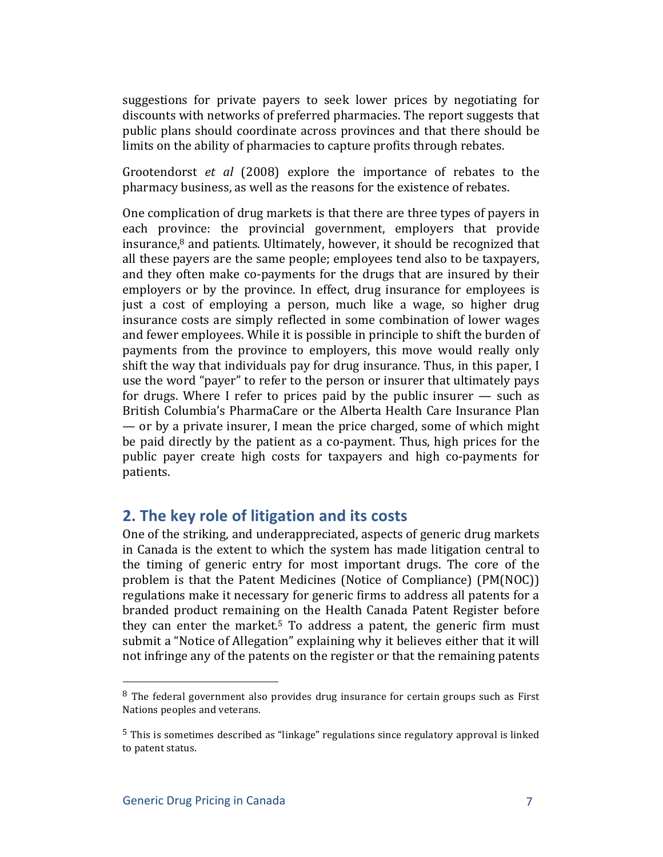suggestions for private payers to seek lower prices by negotiating for discounts with networks of preferred pharmacies. The report suggests that public plans should coordinate across provinces and that there should be limits on the ability of pharmacies to capture profits through rebates.

Grootendorst *et al* (2008) explore the importance of rebates to the pharmacy business, as well as the reasons for the existence of rebates.

One complication of drug markets is that there are three types of payers in each province: the provincial government, employers that provide insurance, $8$  and patients. Ultimately, however, it should be recognized that all these payers are the same people; employees tend also to be taxpayers, and they often make co-payments for the drugs that are insured by their employers or by the province. In effect, drug insurance for employees is just a cost of employing a person, much like a wage, so higher drug insurance costs are simply reflected in some combination of lower wages and fewer employees. While it is possible in principle to shift the burden of payments from the province to employers, this move would really only shift the way that individuals pay for drug insurance. Thus, in this paper, I use the word "payer" to refer to the person or insurer that ultimately pays for drugs. Where I refer to prices paid by the public insurer  $-$  such as British Columbia's PharmaCare or the Alberta Health Care Insurance Plan — or by a private insurer, I mean the price charged, some of which might be paid directly by the patient as a co-payment. Thus, high prices for the public payer create high costs for taxpayers and high co-payments for patients.!

# **2. The key role of litigation and its costs**

One of the striking, and underappreciated, aspects of generic drug markets in Canada is the extent to which the system has made litigation central to the timing of generic entry for most important drugs. The core of the problem is that the Patent Medicines (Notice of Compliance) (PM(NOC)) regulations make it necessary for generic firms to address all patents for a branded product remaining on the Health Canada Patent Register before they can enter the market.<sup>5</sup> To address a patent, the generic firm must submit a "Notice of Allegation" explaining why it believes either that it will not infringe any of the patents on the register or that the remaining patents

 $8$  The federal government also provides drug insurance for certain groups such as First Nations peoples and veterans.

 $5$  This is sometimes described as "linkage" regulations since regulatory approval is linked to patent status.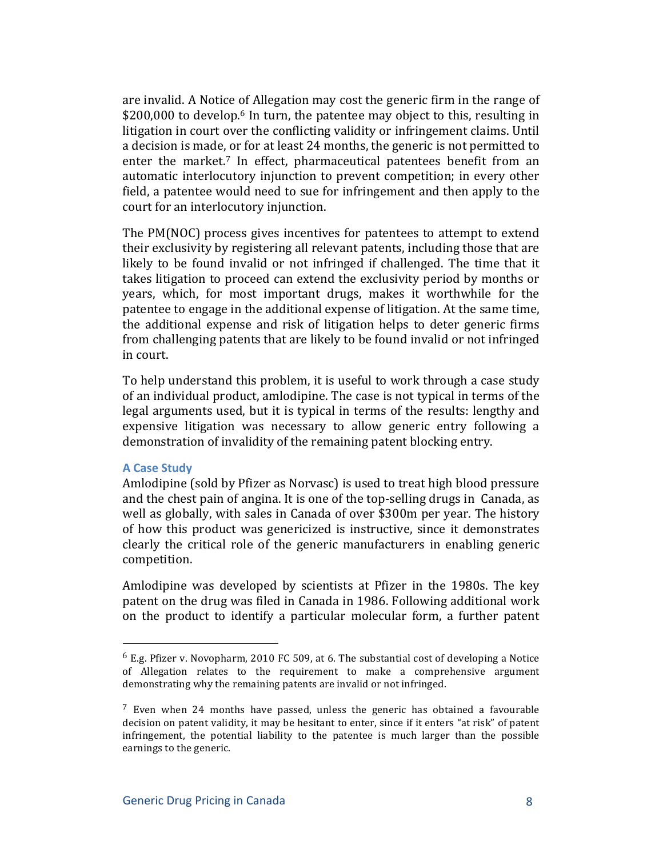are invalid. A Notice of Allegation may cost the generic firm in the range of \$200,000 to develop.<sup>6</sup> In turn, the patentee may object to this, resulting in litigation in court over the conflicting validity or infringement claims. Until a decision is made, or for at least 24 months, the generic is not permitted to enter the market.<sup>7</sup> In effect, pharmaceutical patentees benefit from an automatic interlocutory injunction to prevent competition; in every other field, a patentee would need to sue for infringement and then apply to the court for an interlocutory injunction.

The PM(NOC) process gives incentives for patentees to attempt to extend their exclusivity by registering all relevant patents, including those that are likely to be found invalid or not infringed if challenged. The time that it takes litigation to proceed can extend the exclusivity period by months or years, which, for most important drugs, makes it worthwhile for the patentee to engage in the additional expense of litigation. At the same time, the additional expense and risk of litigation helps to deter generic firms from challenging patents that are likely to be found invalid or not infringed in court.

To help understand this problem, it is useful to work through a case study of an individual product, amlodipine. The case is not typical in terms of the legal arguments used, but it is typical in terms of the results: lengthy and expensive litigation was necessary to allow generic entry following a demonstration of invalidity of the remaining patent blocking entry.

#### **A Case Study**

Amlodipine (sold by Pfizer as Norvasc) is used to treat high blood pressure and the chest pain of angina. It is one of the top-selling drugs in Canada, as well as globally, with sales in Canada of over \$300m per year. The history of how this product was genericized is instructive, since it demonstrates clearly the critical role of the generic manufacturers in enabling generic competition.

Amlodipine was developed by scientists at Pfizer in the 1980s. The key patent on the drug was filed in Canada in 1986. Following additional work on the product to identify a particular molecular form, a further patent

 $6$  E.g. Pfizer v. Novopharm, 2010 FC 509, at 6. The substantial cost of developing a Notice of Allegation relates to the requirement to make a comprehensive argument demonstrating why the remaining patents are invalid or not infringed.

 $<sup>7</sup>$  Even when 24 months have passed, unless the generic has obtained a favourable</sup> decision on patent validity, it may be hesitant to enter, since if it enters "at risk" of patent infringement, the potential liability to the patentee is much larger than the possible earnings to the generic.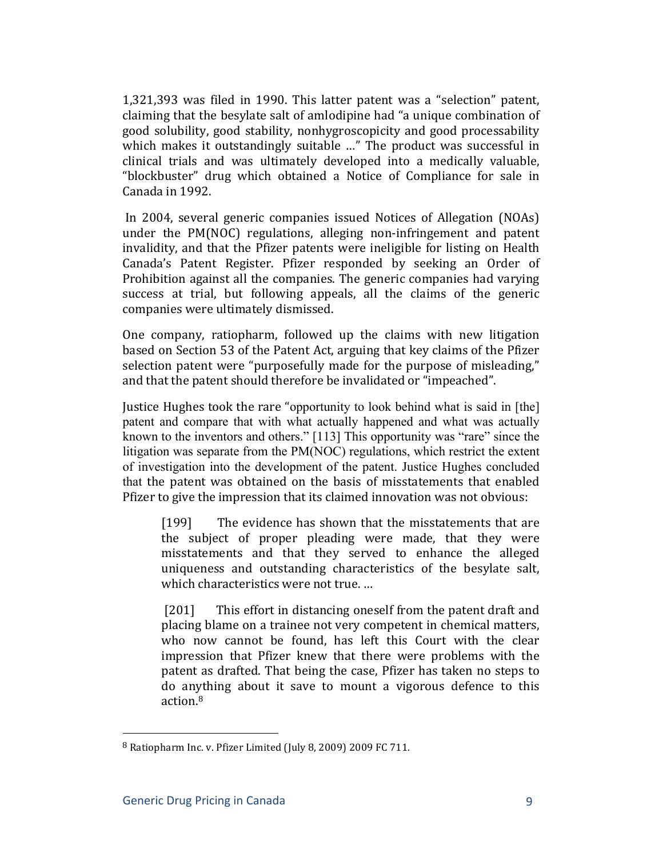$1,321,393$  was filed in 1990. This latter patent was a "selection" patent, claiming that the besylate salt of amlodipine had "a unique combination of good solubility, good stability, nonhygroscopicity and good processability which makes it outstandingly suitable ..." The product was successful in clinical trials and was ultimately developed into a medically valuable, "blockbuster" drug which obtained a Notice of Compliance for sale in Canada in 1992.

In 2004, several generic companies issued Notices of Allegation (NOAs). under the PM(NOC) regulations, alleging non-infringement and patent invalidity, and that the Pfizer patents were ineligible for listing on Health Canada's Patent Register. Pfizer responded by seeking an Order of Prohibition against all the companies. The generic companies had varying success at trial, but following appeals, all the claims of the generic companies were ultimately dismissed.

One company, ratiopharm, followed up the claims with new litigation based on Section 53 of the Patent Act, arguing that key claims of the Pfizer selection patent were "purposefully made for the purpose of misleading," and that the patent should therefore be invalidated or "impeached".

Justice Hughes took the rare "opportunity to look behind what is said in [the] patent and compare that with what actually happened and what was actually known to the inventors and others." [113] This opportunity was "rare" since the litigation was separate from the PM(NOC) regulations, which restrict the extent of investigation into the development of the patent. Justice Hughes concluded that the patent was obtained on the basis of misstatements that enabled Pfizer to give the impression that its claimed innovation was not obvious:

[199] The evidence has shown that the misstatements that are the subject of proper pleading were made, that they were misstatements and that they served to enhance the alleged uniqueness and outstanding characteristics of the besylate salt, which characteristics were not true. ...

[201] This effort in distancing oneself from the patent draft and placing blame on a trainee not very competent in chemical matters, who now cannot be found, has left this Court with the clear impression that Pfizer knew that there were problems with the patent as drafted. That being the case, Pfizer has taken no steps to do anything about it save to mount a vigorous defence to this action.8

 $8$  Ratiopharm Inc. v. Pfizer Limited (July 8, 2009) 2009 FC 711.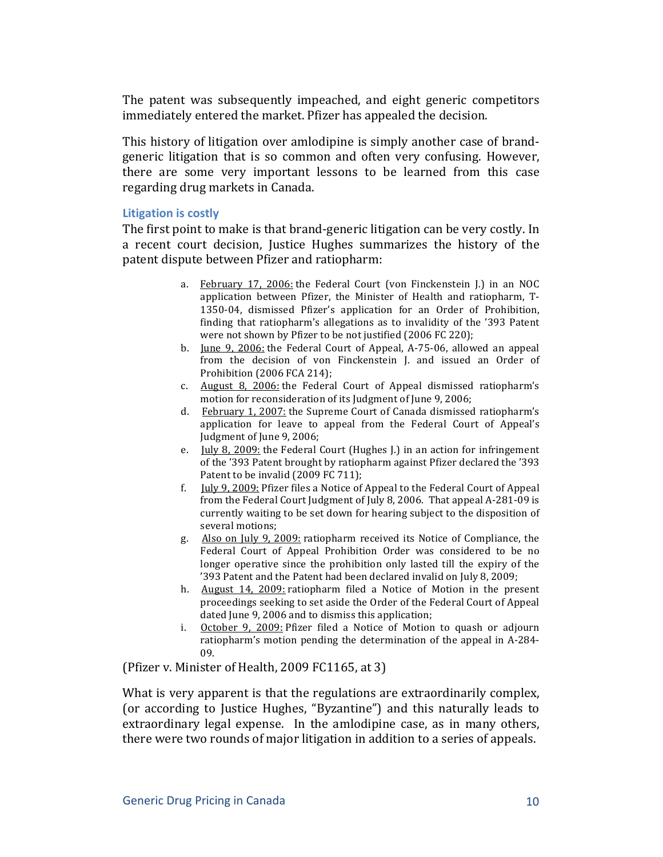The patent was subsequently impeached, and eight generic competitors immediately entered the market. Pfizer has appealed the decision.

This history of litigation over amlodipine is simply another case of brandgeneric litigation that is so common and often very confusing. However, there are some very important lessons to be learned from this case regarding drug markets in Canada.

#### **Litigation is costly**

The first point to make is that brand-generic litigation can be very costly. In a recent court decision, Justice Hughes summarizes the history of the patent dispute between Pfizer and ratiopharm:

- a. February 17, 2006: the Federal Court (von Finckenstein J.) in an NOC application between Pfizer, the Minister of Health and ratiopharm, T-1350-04, dismissed Pfizer's application for an Order of Prohibition, finding that ratiopharm's allegations as to invalidity of the '393 Patent were not shown by Pfizer to be not justified (2006 FC 220);
- b. June 9, 2006: the Federal Court of Appeal, A-75-06, allowed an appeal from the decision of von Finckenstein J. and issued an Order of Prohibition (2006 FCA 214);
- c. August 8, 2006: the Federal Court of Appeal dismissed ratiopharm's motion for reconsideration of its Judgment of June 9, 2006;
- d. February 1, 2007: the Supreme Court of Canada dismissed ratiopharm's application for leave to appeal from the Federal Court of Appeal's Judgment of June 9, 2006;
- e. *Iuly 8, 2009:* the Federal Court (Hughes J.) in an action for infringement of the '393 Patent brought by ratiopharm against Pfizer declared the '393 Patent to be invalid (2009 FC 711);
- f.  $\text{Iuly } 9,2009$ : Pfizer files a Notice of Appeal to the Federal Court of Appeal from the Federal Court Judgment of July 8, 2006. That appeal A-281-09 is currently waiting to be set down for hearing subject to the disposition of several motions:
- g. Also on July 9, 2009: ratiopharm received its Notice of Compliance, the Federal Court of Appeal Prohibition Order was considered to be no longer operative since the prohibition only lasted till the expiry of the '393 Patent and the Patent had been declared invalid on July 8, 2009;
- h. August 14, 2009: ratiopharm filed a Notice of Motion in the present proceedings seeking to set aside the Order of the Federal Court of Appeal dated June 9, 2006 and to dismiss this application;
- i. October 9, 2009: Pfizer filed a Notice of Motion to quash or adjourn ratiopharm's motion pending the determination of the appeal in A-284-09.

(Pfizer v. Minister of Health, 2009 FC1165, at 3)

What is very apparent is that the regulations are extraordinarily complex, (or according to Justice Hughes, "Byzantine") and this naturally leads to extraordinary legal expense. In the amlodipine case, as in many others, there were two rounds of major litigation in addition to a series of appeals.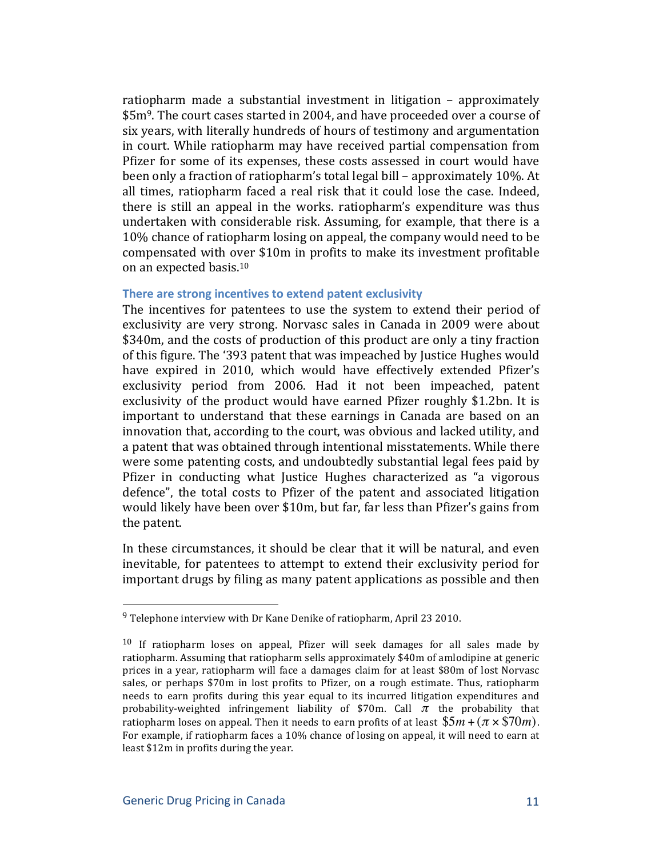ratiopharm made a substantial investment in litigation – approximately \$5m<sup>9</sup>. The court cases started in 2004, and have proceeded over a course of six years, with literally hundreds of hours of testimony and argumentation in court. While ratiopharm may have received partial compensation from Pfizer for some of its expenses, these costs assessed in court would have been only a fraction of ratiopharm's total legal bill – approximately 10%. At all times, ratiopharm faced a real risk that it could lose the case. Indeed, there is still an appeal in the works. ratiopharm's expenditure was thus undertaken with considerable risk. Assuming, for example, that there is a 10% chance of ratiopharm losing on appeal, the company would need to be compensated with over \$10m in profits to make its investment profitable on an expected basis.<sup>10</sup>

#### There are strong incentives to extend patent exclusivity

The incentives for patentees to use the system to extend their period of exclusivity are very strong. Norvasc sales in Canada in 2009 were about \$340m, and the costs of production of this product are only a tiny fraction of this figure. The '393 patent that was impeached by Justice Hughes would have expired in 2010, which would have effectively extended Pfizer's exclusivity period from 2006. Had it not been impeached, patent exclusivity of the product would have earned Pfizer roughly \$1.2bn. It is important to understand that these earnings in Canada are based on an innovation that, according to the court, was obvious and lacked utility, and a patent that was obtained through intentional misstatements. While there were some patenting costs, and undoubtedly substantial legal fees paid by Pfizer in conducting what Justice Hughes characterized as "a vigorous" defence", the total costs to Pfizer of the patent and associated litigation would likely have been over \$10m, but far, far less than Pfizer's gains from the patent.

In these circumstances, it should be clear that it will be natural, and even inevitable, for patentees to attempt to extend their exclusivity period for important drugs by filing as many patent applications as possible and then

 $9$  Telephone interview with Dr Kane Denike of ratiopharm, April 23 2010.

 $10$  If ratiopharm loses on appeal, Pfizer will seek damages for all sales made by ratiopharm. Assuming that ratiopharm sells approximately \$40m of amlodipine at generic prices in a year, ratiopharm will face a damages claim for at least \$80m of lost Norvasc sales, or perhaps \$70m in lost profits to Pfizer, on a rough estimate. Thus, ratiopharm needs to earn profits during this year equal to its incurred litigation expenditures and probability-weighted infringement liability of \$70m. Call  $\pi$  the probability that ratiopharm loses on appeal. Then it needs to earn profits of at least  $\$5m$  + ( $\pi \times \$70m$ ). For example, if ratiopharm faces a 10% chance of losing on appeal, it will need to earn at least \$12m in profits during the year.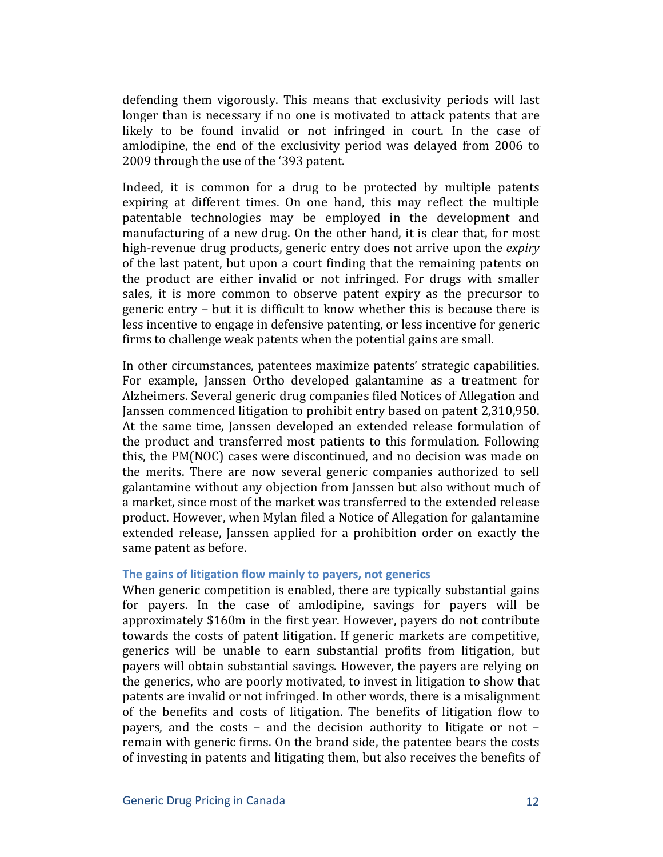defending them vigorously. This means that exclusivity periods will last longer than is necessary if no one is motivated to attack patents that are likely to be found invalid or not infringed in court. In the case of amlodipine, the end of the exclusivity period was delayed from 2006 to 2009 through the use of the '393 patent.

Indeed, it is common for a drug to be protected by multiple patents expiring at different times. On one hand, this may reflect the multiple patentable technologies may be employed in the development and manufacturing of a new drug. On the other hand, it is clear that, for most high-revenue drug products, generic entry does not arrive upon the *expiry* of the last patent, but upon a court finding that the remaining patents on the product are either invalid or not infringed. For drugs with smaller sales, it is more common to observe patent expiry as the precursor to generic entry – but it is difficult to know whether this is because there is less incentive to engage in defensive patenting, or less incentive for generic firms to challenge weak patents when the potential gains are small.

In other circumstances, patentees maximize patents' strategic capabilities. For example, Janssen Ortho developed galantamine as a treatment for Alzheimers. Several generic drug companies filed Notices of Allegation and Janssen commenced litigation to prohibit entry based on patent 2,310,950. At the same time, Janssen developed an extended release formulation of the product and transferred most patients to this formulation. Following this, the PM(NOC) cases were discontinued, and no decision was made on the merits. There are now several generic companies authorized to sell galantamine without any objection from Janssen but also without much of a market, since most of the market was transferred to the extended release product. However, when Mylan filed a Notice of Allegation for galantamine extended release, Janssen applied for a prohibition order on exactly the same patent as before.

#### The gains of litigation flow mainly to payers, not generics

When generic competition is enabled, there are typically substantial gains for payers. In the case of amlodipine, savings for payers will be approximately \$160m in the first year. However, payers do not contribute towards the costs of patent litigation. If generic markets are competitive, generics will be unable to earn substantial profits from litigation, but payers will obtain substantial savings. However, the payers are relying on the generics, who are poorly motivated, to invest in litigation to show that patents are invalid or not infringed. In other words, there is a misalignment of the benefits and costs of litigation. The benefits of litigation flow to payers, and the costs – and the decision authority to litigate or not – remain with generic firms. On the brand side, the patentee bears the costs of investing in patents and litigating them, but also receives the benefits of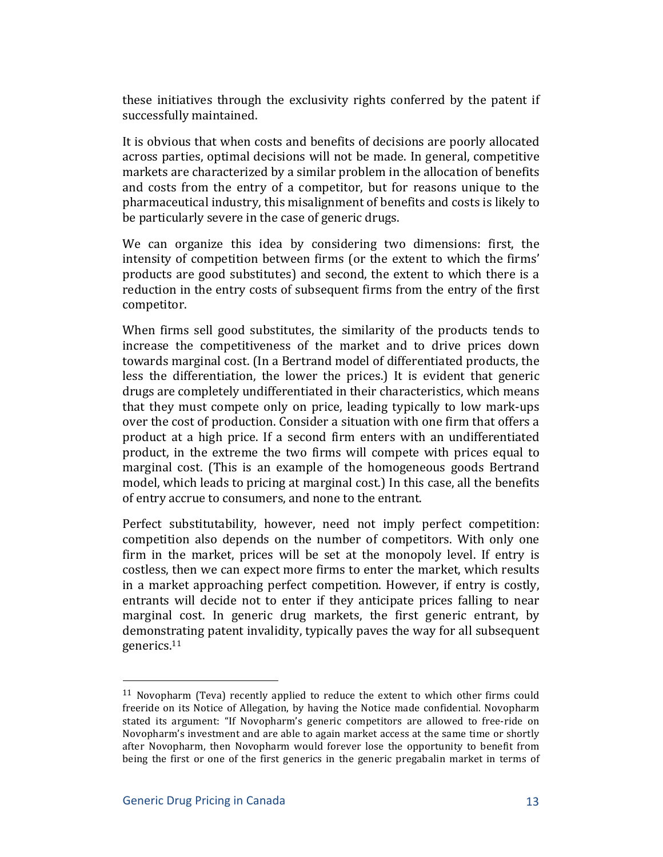these initiatives through the exclusivity rights conferred by the patent if successfully maintained.

It is obvious that when costs and benefits of decisions are poorly allocated across parties, optimal decisions will not be made. In general, competitive markets are characterized by a similar problem in the allocation of benefits and costs from the entry of a competitor, but for reasons unique to the pharmaceutical industry, this misalignment of benefits and costs is likely to be particularly severe in the case of generic drugs.

We can organize this idea by considering two dimensions: first, the intensity of competition between firms (or the extent to which the firms' products are good substitutes) and second, the extent to which there is a reduction in the entry costs of subsequent firms from the entry of the first competitor.

When firms sell good substitutes, the similarity of the products tends to increase the competitiveness of the market and to drive prices down towards marginal cost. (In a Bertrand model of differentiated products, the less the differentiation, the lower the prices.) It is evident that generic drugs are completely undifferentiated in their characteristics, which means that they must compete only on price, leading typically to low mark-ups over the cost of production. Consider a situation with one firm that offers a product at a high price. If a second firm enters with an undifferentiated product, in the extreme the two firms will compete with prices equal to marginal cost. (This is an example of the homogeneous goods Bertrand model, which leads to pricing at marginal cost.) In this case, all the benefits of entry accrue to consumers, and none to the entrant.

Perfect substitutability, however, need not imply perfect competition: competition also depends on the number of competitors. With only one firm in the market, prices will be set at the monopoly level. If entry is costless, then we can expect more firms to enter the market, which results in a market approaching perfect competition. However, if entry is costly, entrants will decide not to enter if they anticipate prices falling to near marginal cost. In generic drug markets, the first generic entrant, by demonstrating patent invalidity, typically paves the way for all subsequent generics.11

<sup>&</sup>lt;sup>11</sup> Novopharm (Teva) recently applied to reduce the extent to which other firms could freeride on its Notice of Allegation, by having the Notice made confidential. Novopharm stated its argument: "If Novopharm's generic competitors are allowed to free-ride on Novopharm's investment and are able to again market access at the same time or shortly after Novopharm, then Novopharm would forever lose the opportunity to benefit from being the first or one of the first generics in the generic pregabalin market in terms of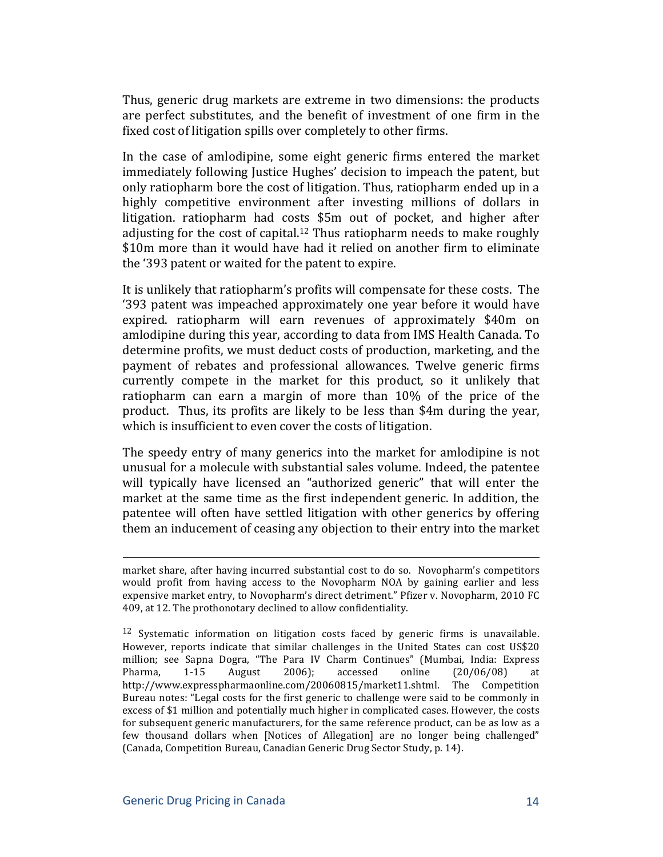Thus, generic drug markets are extreme in two dimensions: the products are perfect substitutes, and the benefit of investment of one firm in the fixed cost of litigation spills over completely to other firms.

In the case of amlodipine, some eight generic firms entered the market immediately following Justice Hughes' decision to impeach the patent, but only ratiopharm bore the cost of litigation. Thus, ratiopharm ended up in a highly competitive environment after investing millions of dollars in litigation. ratiopharm had costs \$5m out of pocket, and higher after adjusting for the cost of capital.<sup>12</sup> Thus ratiopharm needs to make roughly \$10m more than it would have had it relied on another firm to eliminate the '393 patent or waited for the patent to expire.

It is unlikely that ratiopharm's profits will compensate for these costs. The '393 patent was impeached approximately one year before it would have expired. ratiopharm will earn revenues of approximately \$40m on amlodipine during this year, according to data from IMS Health Canada. To determine profits, we must deduct costs of production, marketing, and the payment of rebates and professional allowances. Twelve generic firms currently compete in the market for this product, so it unlikely that ratiopharm can earn a margin of more than  $10\%$  of the price of the product. Thus, its profits are likely to be less than \$4m during the year, which is insufficient to even cover the costs of litigation.

The speedy entry of many generics into the market for amlodipine is not unusual for a molecule with substantial sales volume. Indeed, the patentee will typically have licensed an "authorized generic" that will enter the market at the same time as the first independent generic. In addition, the patentee will often have settled litigation with other generics by offering them an inducement of ceasing any objection to their entry into the market

!!!!!!!!!!!!!!!!!!!!!!!!!!!!!!!!!!!!!!!!!!!!!!!!!!!!!!!!!!!!!!!!!!!!!!!!!!!!!!!!!!!!!!!!!!!!!!!!!!!!!!!!!!!!!!!!!!!!!!!!!!!!!!!!!!!!!!!!!!!!!!!!!!

market share, after having incurred substantial cost to do so. Novopharm's competitors would profit from having access to the Novopharm NOA by gaining earlier and less expensive market entry, to Novopharm's direct detriment." Pfizer v. Novopharm, 2010 FC 409, at 12. The prothonotary declined to allow confidentiality.

<sup>&</sup>lt;sup>12</sup> Systematic information on litigation costs faced by generic firms is unavailable. However, reports indicate that similar challenges in the United States can cost US\$20 million; see Sapna Dogra, "The Para IV Charm Continues" (Mumbai, India: Express Pharma,  $1-15$  August  $2006$ ; accessed online  $(20/06/08)$  at http://www.expresspharmaonline.com/20060815/market11.shtml. The Competition Bureau notes: "Legal costs for the first generic to challenge were said to be commonly in excess of \$1 million and potentially much higher in complicated cases. However, the costs for subsequent generic manufacturers, for the same reference product, can be as low as a few thousand dollars when [Notices of Allegation] are no longer being challenged" (Canada, Competition Bureau, Canadian Generic Drug Sector Study, p. 14).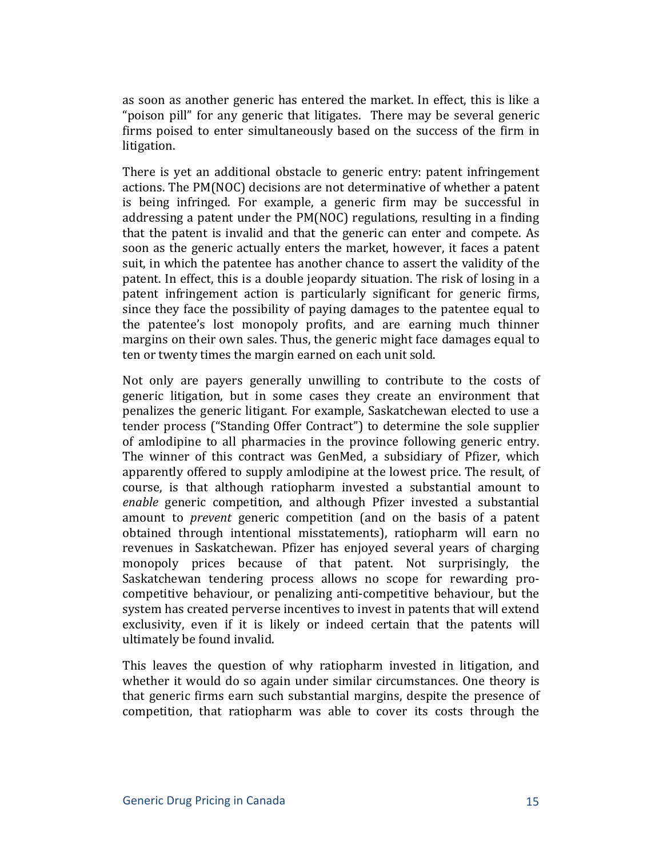as soon as another generic has entered the market. In effect, this is like a "poison pill" for any generic that litigates. There may be several generic firms poised to enter simultaneously based on the success of the firm in litigation.

There is yet an additional obstacle to generic entry: patent infringement actions. The PM(NOC) decisions are not determinative of whether a patent is being infringed. For example, a generic firm may be successful in addressing a patent under the PM(NOC) regulations, resulting in a finding that the patent is invalid and that the generic can enter and compete. As soon as the generic actually enters the market, however, it faces a patent suit, in which the patentee has another chance to assert the validity of the patent. In effect, this is a double jeopardy situation. The risk of losing in a patent infringement action is particularly significant for generic firms, since they face the possibility of paying damages to the patentee equal to the patentee's lost monopoly profits, and are earning much thinner margins on their own sales. Thus, the generic might face damages equal to ten or twenty times the margin earned on each unit sold.

Not only are payers generally unwilling to contribute to the costs of generic litigation, but in some cases they create an environment that penalizes the generic litigant. For example, Saskatchewan elected to use a tender process ("Standing Offer Contract") to determine the sole supplier of amlodipine to all pharmacies in the province following generic entry. The winner of this contract was GenMed, a subsidiary of Pfizer, which apparently offered to supply amlodipine at the lowest price. The result, of course, is that although ratiopharm invested a substantial amount to *enable* generic competition, and although Pfizer invested a substantial amount to *prevent* generic competition (and on the basis of a patent obtained through intentional misstatements), ratiopharm will earn no revenues in Saskatchewan. Pfizer has enjoyed several years of charging monopoly prices because of that patent. Not surprisingly, the Saskatchewan tendering process allows no scope for rewarding procompetitive behaviour, or penalizing anti-competitive behaviour, but the system has created perverse incentives to invest in patents that will extend exclusivity, even if it is likely or indeed certain that the patents will ultimately be found invalid.

This leaves the question of why ratiopharm invested in litigation, and whether it would do so again under similar circumstances. One theory is that generic firms earn such substantial margins, despite the presence of competition, that ratiopharm was able to cover its costs through the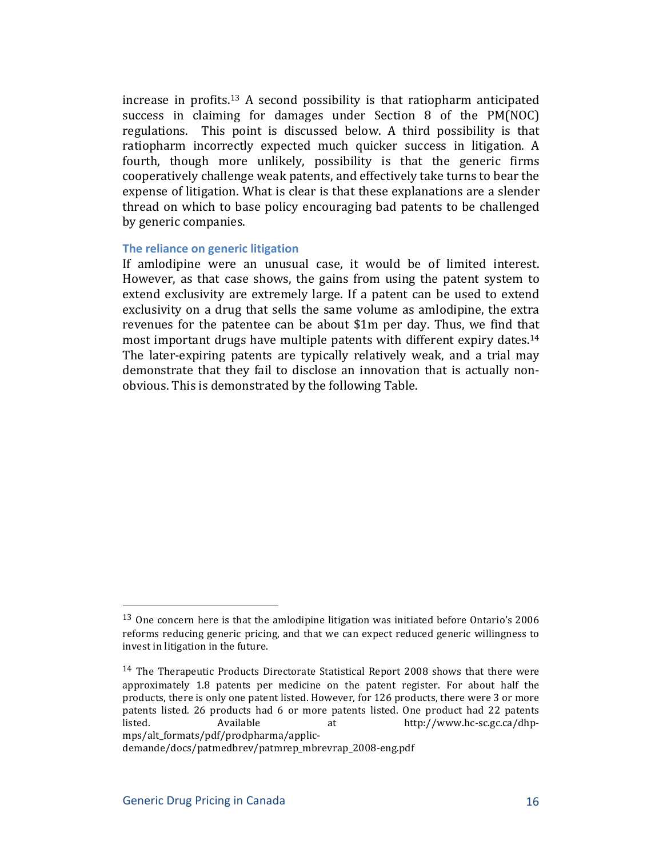increase in profits.<sup>13</sup> A second possibility is that ratiopharm anticipated success in claiming for damages under Section  $8$  of the PM(NOC) regulations. This point is discussed below. A third possibility is that ratiopharm incorrectly expected much quicker success in litigation. A fourth, though more unlikely, possibility is that the generic firms cooperatively challenge weak patents, and effectively take turns to bear the expense of litigation. What is clear is that these explanations are a slender thread on which to base policy encouraging bad patents to be challenged by generic companies.

#### **The reliance on generic litigation**

If amlodipine were an unusual case, it would be of limited interest. However, as that case shows, the gains from using the patent system to extend exclusivity are extremely large. If a patent can be used to extend exclusivity on a drug that sells the same volume as amlodipine, the extra revenues for the patentee can be about  $$1m$  per day. Thus, we find that most important drugs have multiple patents with different expiry dates.<sup>14</sup> The later-expiring patents are typically relatively weak, and a trial may demonstrate that they fail to disclose an innovation that is actually nonobvious. This is demonstrated by the following Table.

 $13$  One concern here is that the amlodipine litigation was initiated before Ontario's 2006 reforms reducing generic pricing, and that we can expect reduced generic willingness to invest in litigation in the future.

 $14$  The Therapeutic Products Directorate Statistical Report 2008 shows that there were approximately 1.8 patents per medicine on the patent register. For about half the products, there is only one patent listed. However, for 126 products, there were 3 or more patents listed. 26 products had 6 or more patents listed. One product had 22 patents listed. Available at http://www.hc-sc.gc.ca/dhpmps/alt\_formats/pdf/prodpharma/applicD

demande/docs/patmedbrev/patmrep\_mbrevrap\_2008-eng.pdf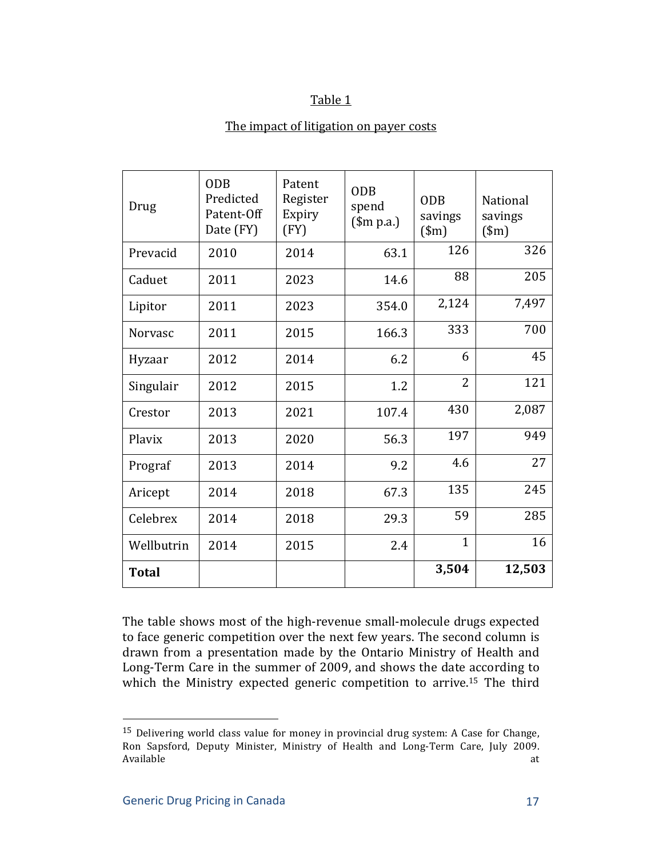#### Table 1

#### The impact of litigation on payer costs

| Drug           | <b>ODB</b><br>Predicted<br>Patent-Off<br>Date (FY) | Patent<br>Register<br>Expiry<br>(FY) | <b>ODB</b><br>spend<br>$$m p.a.$ ) | <b>ODB</b><br>savings<br>$(\text{m})$ | National<br>savings<br>$(\text{m})$ |
|----------------|----------------------------------------------------|--------------------------------------|------------------------------------|---------------------------------------|-------------------------------------|
| Prevacid       | 2010                                               | 2014                                 | 63.1                               | 126                                   | 326                                 |
| Caduet         | 2011                                               | 2023                                 | 14.6                               | 88                                    | 205                                 |
| Lipitor        | 2011                                               | 2023                                 | 354.0                              | 2,124                                 | 7,497                               |
| <b>Norvasc</b> | 2011                                               | 2015                                 | 166.3                              | 333                                   | 700                                 |
| Hyzaar         | 2012                                               | 2014                                 | 6.2                                | 6                                     | 45                                  |
| Singulair      | 2012                                               | 2015                                 | 1.2                                | $\overline{2}$                        | 121                                 |
| Crestor        | 2013                                               | 2021                                 | 107.4                              | 430                                   | 2,087                               |
| Plavix         | 2013                                               | 2020                                 | 56.3                               | 197                                   | 949                                 |
| Prograf        | 2013                                               | 2014                                 | 9.2                                | 4.6                                   | 27                                  |
| Aricept        | 2014                                               | 2018                                 | 67.3                               | 135                                   | 245                                 |
| Celebrex       | 2014                                               | 2018                                 | 29.3                               | 59                                    | 285                                 |
| Wellbutrin     | 2014                                               | 2015                                 | 2.4                                | $\mathbf{1}$                          | 16                                  |
| <b>Total</b>   |                                                    |                                      |                                    | 3,504                                 | 12,503                              |

The table shows most of the high-revenue small-molecule drugs expected to face generic competition over the next few years. The second column is drawn from a presentation made by the Ontario Ministry of Health and Long-Term Care in the summer of 2009, and shows the date according to which the Ministry expected generic competition to arrive.<sup>15</sup> The third

 $15$  Delivering world class value for money in provincial drug system: A Case for Change, Ron Sapsford, Deputy Minister, Ministry of Health and Long-Term Care, July 2009. Available at the state of the state of the state of the state of the state of the state of the state of the state of the state of the state of the state of the state of the state of the state of the state of the state of t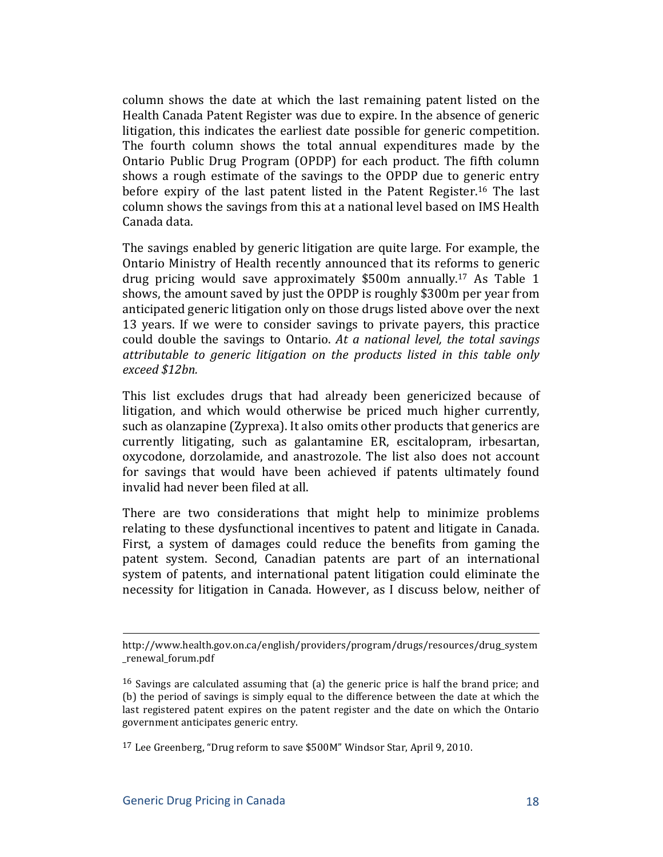column shows the date at which the last remaining patent listed on the Health Canada Patent Register was due to expire. In the absence of generic litigation, this indicates the earliest date possible for generic competition. The fourth column shows the total annual expenditures made by the Ontario Public Drug Program (OPDP) for each product. The fifth column shows a rough estimate of the savings to the OPDP due to generic entry before expiry of the last patent listed in the Patent Register.<sup>16</sup> The last column shows the savings from this at a national level based on IMS Health Canada data.

The savings enabled by generic litigation are quite large. For example, the Ontario Ministry of Health recently announced that its reforms to generic drug pricing would save approximately  $$500m$  annually.<sup>17</sup> As Table 1 shows, the amount saved by just the OPDP is roughly \$300m per year from anticipated generic litigation only on those drugs listed above over the next 13 years. If we were to consider savings to private payers, this practice could double the savings to Ontario. At a national level, the total savings *attributable+ to+ generic+ litigation+ on+ the+ products+ listed+ in+ this+ table+ only+ exceed+\$12bn.+*

This list excludes drugs that had already been genericized because of litigation, and which would otherwise be priced much higher currently, such as olanzapine (Zyprexa). It also omits other products that generics are currently litigating, such as galantamine ER, escitalopram, irbesartan, oxycodone, dorzolamide, and anastrozole. The list also does not account for savings that would have been achieved if patents ultimately found invalid had never been filed at all.

There are two considerations that might help to minimize problems relating to these dysfunctional incentives to patent and litigate in Canada. First, a system of damages could reduce the benefits from gaming the patent system. Second, Canadian patents are part of an international system of patents, and international patent litigation could eliminate the necessity for litigation in Canada. However, as I discuss below, neither of

<sup>!!!!!!!!!!!!!!!!!!!!!!!!!!!!!!!!!!!!!!!!!!!!!!!!!!!!!!!!!!!!!!!!!!!!!!!!!!!!!!!!!!!!!!!!!!!!!!!!!!!!!!!!!!!!!!!!!!!!!!!!!!!!!!!!!!!!!!!!!!!!!!!!!!</sup> http://www.health.gov.on.ca/english/providers/program/drugs/resources/drug\_system \_renewal\_forum.pdf

<sup>&</sup>lt;sup>16</sup> Savings are calculated assuming that (a) the generic price is half the brand price; and (b) the period of savings is simply equal to the difference between the date at which the last registered patent expires on the patent register and the date on which the Ontario government anticipates generic entry.

<sup>&</sup>lt;sup>17</sup> Lee Greenberg, "Drug reform to save \$500M" Windsor Star, April 9, 2010.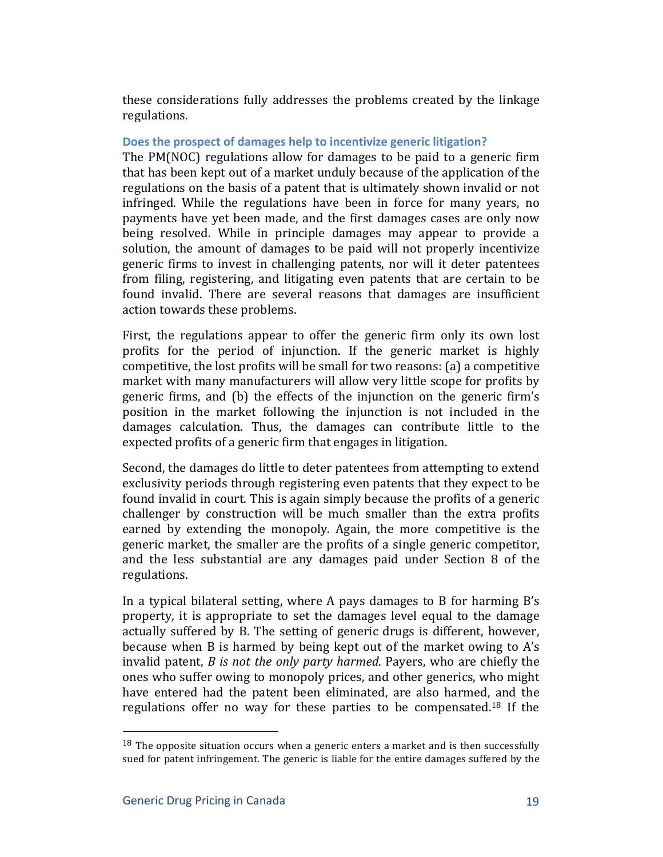these considerations fully addresses the problems created by the linkage regulations.

#### Does the prospect of damages help to incentivize generic litigation?

The  $PM(NOC)$  regulations allow for damages to be paid to a generic firm that has been kept out of a market unduly because of the application of the regulations on the basis of a patent that is ultimately shown invalid or not infringed. While the regulations have been in force for many vears, no payments have yet been made, and the first damages cases are only now being resolved. While in principle damages may appear to provide a solution, the amount of damages to be paid will not properly incentivize generic firms to invest in challenging patents, nor will it deter patentees from filing, registering, and litigating even patents that are certain to be found invalid. There are several reasons that damages are insufficient action towards these problems.

First, the regulations appear to offer the generic firm only its own lost profits for the period of injunction. If the generic market is highly competitive, the lost profits will be small for two reasons: (a) a competitive market with many manufacturers will allow very little scope for profits by generic firms, and (b) the effects of the injunction on the generic firm's position in the market following the injunction is not included in the damages calculation. Thus, the damages can contribute little to the expected profits of a generic firm that engages in litigation.

Second, the damages do little to deter patentees from attempting to extend exclusivity periods through registering even patents that they expect to be found invalid in court. This is again simply because the profits of a generic challenger by construction will be much smaller than the extra profits earned by extending the monopoly. Again, the more competitive is the generic market, the smaller are the profits of a single generic competitor, and the less substantial are any damages paid under Section 8 of the regulations.

In a typical bilateral setting, where A pays damages to B for harming  $B's$ property, it is appropriate to set the damages level equal to the damage actually suffered by B. The setting of generic drugs is different, however, because when  $B$  is harmed by being kept out of the market owing to  $A's$ invalid patent, *B* is not the only party harmed. Payers, who are chiefly the ones who suffer owing to monopoly prices, and other generics, who might have entered had the patent been eliminated, are also harmed, and the regulations offer no way for these parties to be compensated.<sup>18</sup> If the

 $18$  The opposite situation occurs when a generic enters a market and is then successfully sued for patent infringement. The generic is liable for the entire damages suffered by the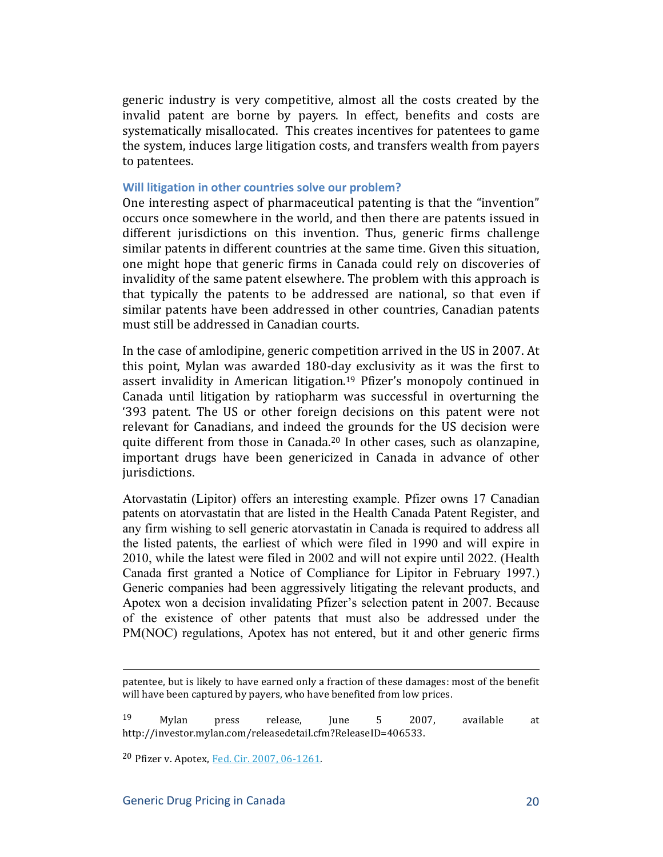generic industry is very competitive, almost all the costs created by the invalid patent are borne by payers. In effect, benefits and costs are systematically misallocated. This creates incentives for patentees to game the system, induces large litigation costs, and transfers wealth from payers to patentees.

#### Will litigation in other countries solve our problem?

One interesting aspect of pharmaceutical patenting is that the "invention" occurs once somewhere in the world, and then there are patents issued in different jurisdictions on this invention. Thus, generic firms challenge similar patents in different countries at the same time. Given this situation, one might hope that generic firms in Canada could rely on discoveries of invalidity of the same patent elsewhere. The problem with this approach is that typically the patents to be addressed are national, so that even if similar patents have been addressed in other countries, Canadian patents must still be addressed in Canadian courts.

In the case of amlodipine, generic competition arrived in the US in 2007. At this point, Mylan was awarded 180-day exclusivity as it was the first to assert invalidity in American litigation.<sup>19</sup> Pfizer's monopoly continued in Canada until litigation by ratiopharm was successful in overturning the '393 patent. The US or other foreign decisions on this patent were not relevant for Canadians, and indeed the grounds for the US decision were quite different from those in Canada.<sup>20</sup> In other cases, such as olanzapine, important drugs have been genericized in Canada in advance of other jurisdictions.

Atorvastatin (Lipitor) offers an interesting example. Pfizer owns 17 Canadian patents on atorvastatin that are listed in the Health Canada Patent Register, and any firm wishing to sell generic atorvastatin in Canada is required to address all the listed patents, the earliest of which were filed in 1990 and will expire in 2010, while the latest were filed in 2002 and will not expire until 2022. (Health Canada first granted a Notice of Compliance for Lipitor in February 1997.) Generic companies had been aggressively litigating the relevant products, and Apotex won a decision invalidating Pfizer's selection patent in 2007. Because of the existence of other patents that must also be addressed under the PM(NOC) regulations, Apotex has not entered, but it and other generic firms

 $19$  Mylan press release, June 5 2007, available at http://investor.mylan.com/releasedetail.cfm?ReleaseID=406533.

<sup>20</sup> Pfizer v. Apotex, Fed. Cir. 2007, 06-1261.

<sup>!!!!!!!!!!!!!!!!!!!!!!!!!!!!!!!!!!!!!!!!!!!!!!!!!!!!!!!!!!!!!!!!!!!!!!!!!!!!!!!!!!!!!!!!!!!!!!!!!!!!!!!!!!!!!!!!!!!!!!!!!!!!!!!!!!!!!!!!!!!!!!!!!!</sup> patentee, but is likely to have earned only a fraction of these damages: most of the benefit will have been captured by payers, who have benefited from low prices.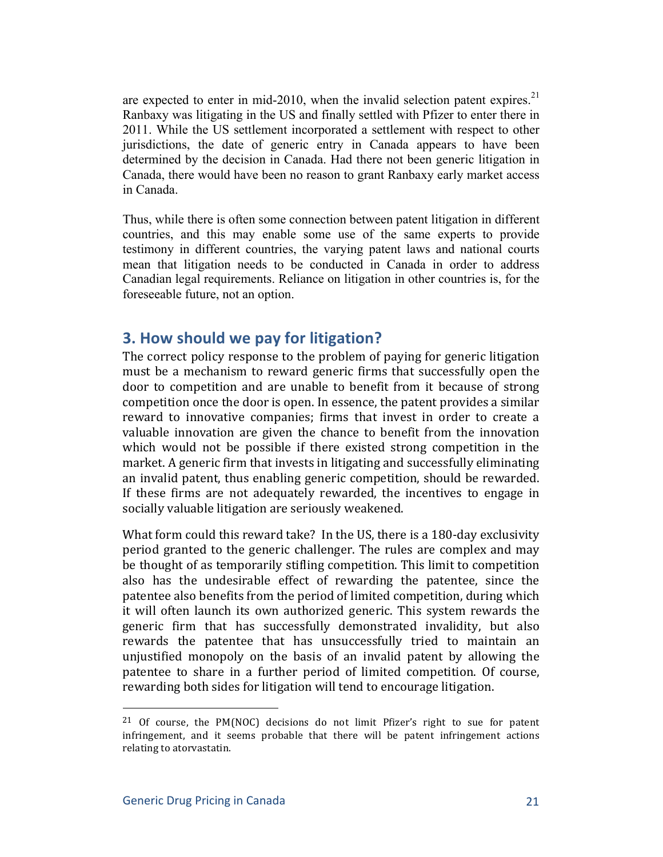are expected to enter in mid-2010, when the invalid selection patent expires.<sup>21</sup> Ranbaxy was litigating in the US and finally settled with Pfizer to enter there in 2011. While the US settlement incorporated a settlement with respect to other jurisdictions, the date of generic entry in Canada appears to have been determined by the decision in Canada. Had there not been generic litigation in Canada, there would have been no reason to grant Ranbaxy early market access in Canada.

Thus, while there is often some connection between patent litigation in different countries, and this may enable some use of the same experts to provide testimony in different countries, the varying patent laws and national courts mean that litigation needs to be conducted in Canada in order to address Canadian legal requirements. Reliance on litigation in other countries is, for the foreseeable future, not an option.

# **3. How should we pay for litigation?**

The correct policy response to the problem of paying for generic litigation must be a mechanism to reward generic firms that successfully open the door to competition and are unable to benefit from it because of strong competition once the door is open. In essence, the patent provides a similar reward to innovative companies; firms that invest in order to create a valuable innovation are given the chance to benefit from the innovation which would not be possible if there existed strong competition in the market. A generic firm that invests in litigating and successfully eliminating an invalid patent, thus enabling generic competition, should be rewarded. If these firms are not adequately rewarded, the incentives to engage in socially valuable litigation are seriously weakened.

What form could this reward take? In the US, there is a 180-day exclusivity period granted to the generic challenger. The rules are complex and may be thought of as temporarily stifling competition. This limit to competition also has the undesirable effect of rewarding the patentee, since the patentee also benefits from the period of limited competition, during which it will often launch its own authorized generic. This system rewards the generic firm that has successfully demonstrated invalidity, but also rewards the patentee that has unsuccessfully tried to maintain an unjustified monopoly on the basis of an invalid patent by allowing the patentee to share in a further period of limited competition. Of course, rewarding both sides for litigation will tend to encourage litigation.

<sup>&</sup>lt;sup>21</sup> Of course, the PM(NOC) decisions do not limit Pfizer's right to sue for patent infringement, and it seems probable that there will be patent infringement actions relating to atorvastatin.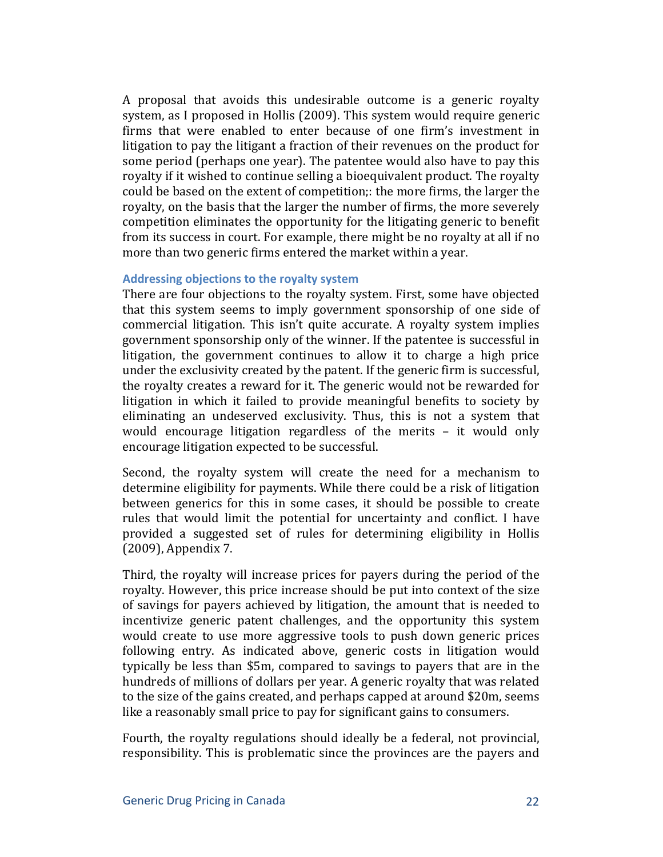A proposal that avoids this undesirable outcome is a generic royalty system, as I proposed in Hollis (2009). This system would require generic firms that were enabled to enter because of one firm's investment in litigation to pay the litigant a fraction of their revenues on the product for some period (perhaps one year). The patentee would also have to pay this royalty if it wished to continue selling a bioequivalent product. The royalty could be based on the extent of competition;: the more firms, the larger the royalty, on the basis that the larger the number of firms, the more severely competition eliminates the opportunity for the litigating generic to benefit from its success in court. For example, there might be no royalty at all if no more than two generic firms entered the market within a year.

#### Addressing objections to the royalty system

There are four objections to the royalty system. First, some have objected that this system seems to imply government sponsorship of one side of commercial litigation. This isn't quite accurate. A royalty system implies government sponsorship only of the winner. If the patentee is successful in litigation, the government continues to allow it to charge a high price under the exclusivity created by the patent. If the generic firm is successful. the royalty creates a reward for it. The generic would not be rewarded for litigation in which it failed to provide meaningful benefits to society by eliminating an undeserved exclusivity. Thus, this is not a system that would encourage litigation regardless of the merits  $-$  it would only encourage litigation expected to be successful.

Second, the royalty system will create the need for a mechanism to determine eligibility for payments. While there could be a risk of litigation between generics for this in some cases, it should be possible to create rules that would limit the potential for uncertainty and conflict. I have provided a suggested set of rules for determining eligibility in Hollis  $(2009)$ , Appendix 7.

Third, the royalty will increase prices for payers during the period of the royalty. However, this price increase should be put into context of the size of savings for payers achieved by litigation, the amount that is needed to incentivize generic patent challenges, and the opportunity this system would create to use more aggressive tools to push down generic prices following entry. As indicated above, generic costs in litigation would typically be less than \$5m, compared to savings to payers that are in the hundreds of millions of dollars per year. A generic royalty that was related to the size of the gains created, and perhaps capped at around \$20m, seems like a reasonably small price to pay for significant gains to consumers.

Fourth, the royalty regulations should ideally be a federal, not provincial, responsibility. This is problematic since the provinces are the payers and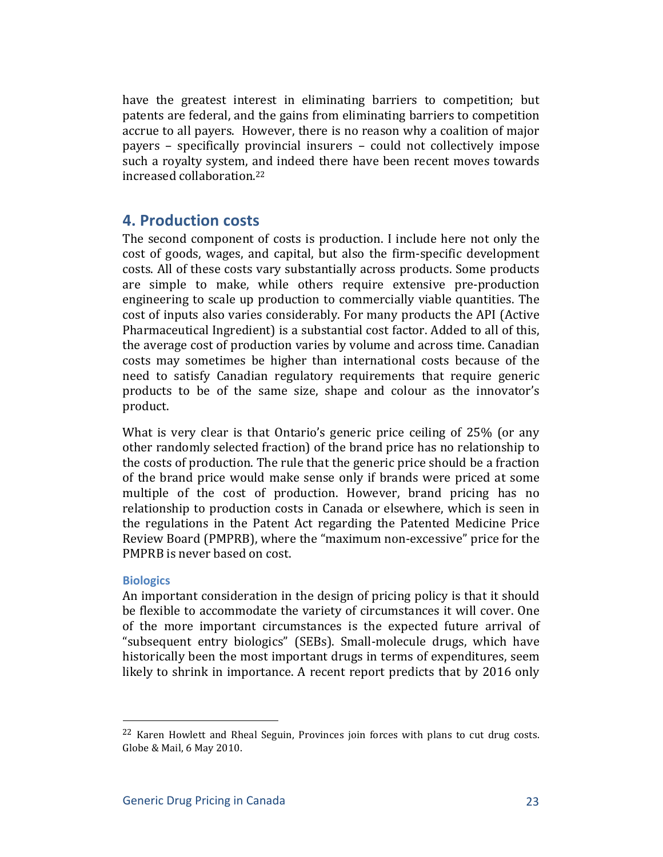have the greatest interest in eliminating barriers to competition; but patents are federal, and the gains from eliminating barriers to competition accrue to all payers. However, there is no reason why a coalition of major payers – specifically provincial insurers – could not collectively impose such a royalty system, and indeed there have been recent moves towards increased collaboration.<sup>22</sup>

### **4. Production costs**

The second component of costs is production. I include here not only the cost of goods, wages, and capital, but also the firm-specific development costs. All of these costs vary substantially across products. Some products. are simple to make, while others require extensive pre-production engineering to scale up production to commercially viable quantities. The cost of inputs also varies considerably. For many products the API (Active Pharmaceutical Ingredient) is a substantial cost factor. Added to all of this, the average cost of production varies by volume and across time. Canadian costs may sometimes be higher than international costs because of the need to satisfy Canadian regulatory requirements that require generic products to be of the same size, shape and colour as the innovator's product.

What is very clear is that Ontario's generic price ceiling of  $25\%$  (or any other randomly selected fraction) of the brand price has no relationship to the costs of production. The rule that the generic price should be a fraction of the brand price would make sense only if brands were priced at some multiple of the cost of production. However, brand pricing has no relationship to production costs in Canada or elsewhere, which is seen in the regulations in the Patent Act regarding the Patented Medicine Price Review Board (PMPRB), where the "maximum non-excessive" price for the PMPRB is never based on cost.

#### **Biologics**

An important consideration in the design of pricing policy is that it should be flexible to accommodate the variety of circumstances it will cover. One of the more important circumstances is the expected future arrival of "subsequent entry biologics" (SEBs). Small-molecule drugs, which have historically been the most important drugs in terms of expenditures, seem likely to shrink in importance. A recent report predicts that by 2016 only

 $22$  Karen Howlett and Rheal Seguin, Provinces join forces with plans to cut drug costs. Globe & Mail, 6 May 2010.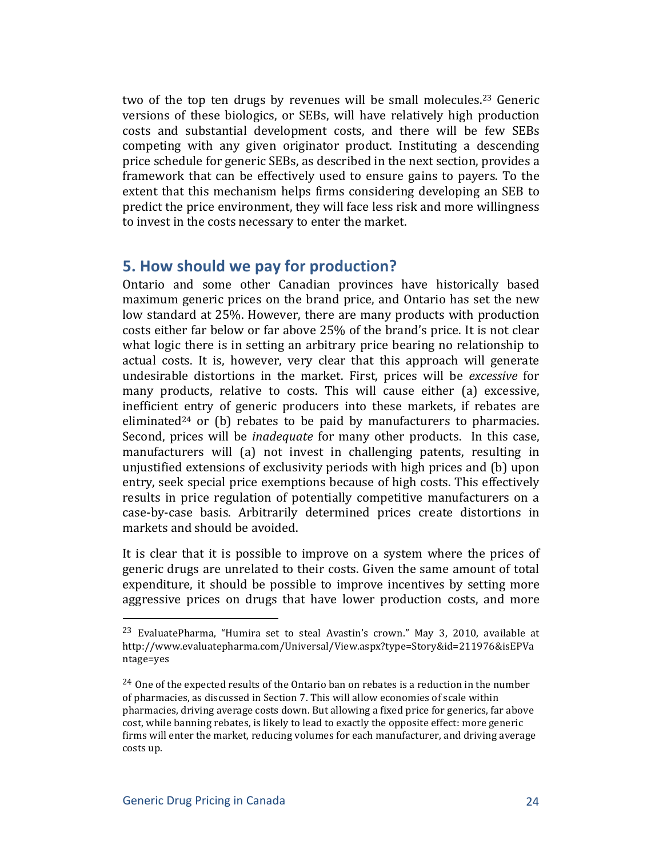two of the top ten drugs by revenues will be small molecules.<sup>23</sup> Generic versions of these biologics, or SEBs, will have relatively high production costs and substantial development costs, and there will be few SEBs competing with any given originator product. Instituting a descending price schedule for generic SEBs, as described in the next section, provides a framework that can be effectively used to ensure gains to payers. To the extent that this mechanism helps firms considering developing an SEB to predict the price environment, they will face less risk and more willingness to invest in the costs necessary to enter the market.

# **5. How should we pay for production?**

Ontario and some other Canadian provinces have historically based maximum generic prices on the brand price, and Ontario has set the new low standard at 25%. However, there are many products with production costs either far below or far above 25% of the brand's price. It is not clear what logic there is in setting an arbitrary price bearing no relationship to actual costs. It is, however, very clear that this approach will generate undesirable distortions in the market. First, prices will be *excessive* for many products, relative to costs. This will cause either (a) excessive, inefficient entry of generic producers into these markets, if rebates are eliminated<sup>24</sup> or (b) rebates to be paid by manufacturers to pharmacies. Second, prices will be *inadequate* for many other products. In this case, manufacturers will (a) not invest in challenging patents, resulting in unjustified extensions of exclusivity periods with high prices and (b) upon entry, seek special price exemptions because of high costs. This effectively results in price regulation of potentially competitive manufacturers on a case-by-case basis. Arbitrarily determined prices create distortions in markets and should be avoided.

It is clear that it is possible to improve on a system where the prices of generic drugs are unrelated to their costs. Given the same amount of total expenditure, it should be possible to improve incentives by setting more aggressive prices on drugs that have lower production costs, and more

<sup>&</sup>lt;sup>23</sup> EvaluatePharma, "Humira set to steal Avastin's crown." May 3, 2010, available at http://www.evaluatepharma.com/Universal/View.aspx?type=Story&id=211976&isEPVa ntage=yes

 $24$  One of the expected results of the Ontario ban on rebates is a reduction in the number of pharmacies, as discussed in Section 7. This will allow economies of scale within pharmacies, driving average costs down. But allowing a fixed price for generics, far above cost, while banning rebates, is likely to lead to exactly the opposite effect: more generic firms will enter the market, reducing volumes for each manufacturer, and driving average costs up.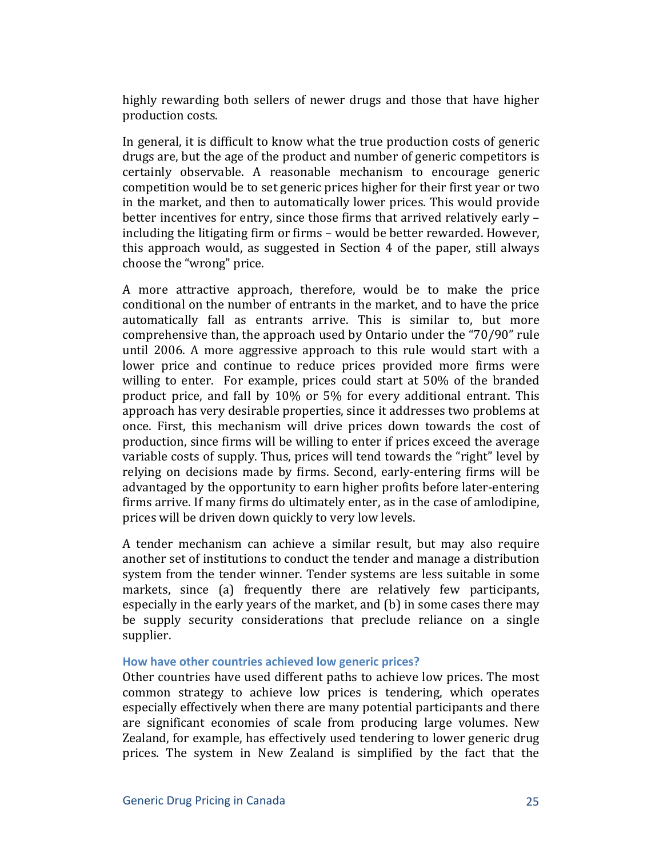highly rewarding both sellers of newer drugs and those that have higher production costs.

In general, it is difficult to know what the true production costs of generic drugs are, but the age of the product and number of generic competitors is certainly observable. A reasonable mechanism to encourage generic competition would be to set generic prices higher for their first year or two in the market, and then to automatically lower prices. This would provide better incentives for entry, since those firms that arrived relatively early – including the litigating firm or firms – would be better rewarded. However, this approach would, as suggested in Section 4 of the paper, still always choose the "wrong" price.

A more attractive approach, therefore, would be to make the price conditional on the number of entrants in the market, and to have the price automatically fall as entrants arrive. This is similar to, but more comprehensive than, the approach used by Ontario under the "70/90" rule until 2006. A more aggressive approach to this rule would start with a lower price and continue to reduce prices provided more firms were willing to enter. For example, prices could start at 50% of the branded product price, and fall by 10% or 5% for every additional entrant. This approach has very desirable properties, since it addresses two problems at once. First, this mechanism will drive prices down towards the cost of production, since firms will be willing to enter if prices exceed the average variable costs of supply. Thus, prices will tend towards the "right" level by relying on decisions made by firms. Second, early-entering firms will be advantaged by the opportunity to earn higher profits before later-entering firms arrive. If many firms do ultimately enter, as in the case of amlodipine, prices will be driven down quickly to very low levels.

A tender mechanism can achieve a similar result, but may also require another set of institutions to conduct the tender and manage a distribution system from the tender winner. Tender systems are less suitable in some markets, since (a) frequently there are relatively few participants, especially in the early years of the market, and (b) in some cases there may be supply security considerations that preclude reliance on a single supplier.

#### How have other countries achieved low generic prices?

Other countries have used different paths to achieve low prices. The most common strategy to achieve low prices is tendering, which operates especially effectively when there are many potential participants and there are significant economies of scale from producing large volumes. New Zealand, for example, has effectively used tendering to lower generic drug prices. The system in New Zealand is simplified by the fact that the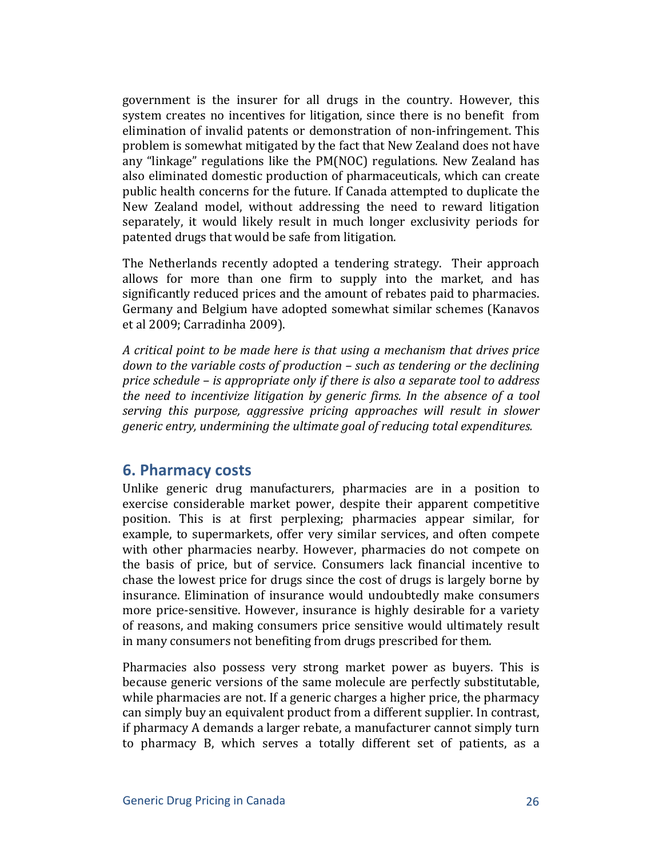government is the insurer for all drugs in the country. However, this system creates no incentives for litigation, since there is no benefit from elimination of invalid patents or demonstration of non-infringement. This problem is somewhat mitigated by the fact that New Zealand does not have any "linkage" regulations like the  $PM(NOC)$  regulations. New Zealand has also eliminated domestic production of pharmaceuticals, which can create public health concerns for the future. If Canada attempted to duplicate the New Zealand model, without addressing the need to reward litigation separately, it would likely result in much longer exclusivity periods for patented drugs that would be safe from litigation.

The Netherlands recently adopted a tendering strategy. Their approach allows for more than one firm to supply into the market, and has significantly reduced prices and the amount of rebates paid to pharmacies. Germany and Belgium have adopted somewhat similar schemes (Kanavos et al 2009; Carradinha 2009).

*A* critical point to be made here is that using a mechanism that drives price *down to the variable costs of production – such as tendering or the declining price schedule – is appropriate only if there is also a separate tool to address the need to incentivize litigation by generic firms. In the absence of a tool serving this purpose, aggressive pricing approaches will result in slower generic entry, undermining the ultimate goal of reducing total expenditures.* 

### **6. Pharmacy costs**

Unlike generic drug manufacturers, pharmacies are in a position to exercise considerable market power, despite their apparent competitive position. This is at first perplexing; pharmacies appear similar, for example, to supermarkets, offer very similar services, and often compete with other pharmacies nearby. However, pharmacies do not compete on the basis of price, but of service. Consumers lack financial incentive to chase the lowest price for drugs since the cost of drugs is largely borne by insurance. Elimination of insurance would undoubtedly make consumers more price-sensitive. However, insurance is highly desirable for a variety of reasons, and making consumers price sensitive would ultimately result in many consumers not benefiting from drugs prescribed for them.

Pharmacies also possess very strong market power as buyers. This is because generic versions of the same molecule are perfectly substitutable, while pharmacies are not. If a generic charges a higher price, the pharmacy can simply buy an equivalent product from a different supplier. In contrast, if pharmacy A demands a larger rebate, a manufacturer cannot simply turn to pharmacy B, which serves a totally different set of patients, as a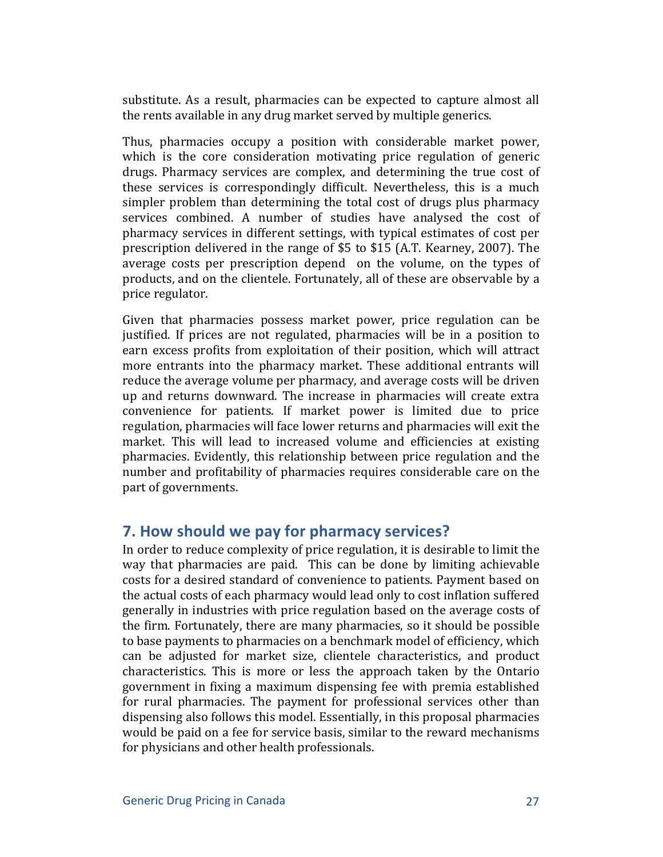substitute. As a result, pharmacies can be expected to capture almost all the rents available in any drug market served by multiple generics.

Thus, pharmacies occupy a position with considerable market power, which is the core consideration motivating price regulation of generic drugs. Pharmacy services are complex, and determining the true cost of these services is correspondingly difficult. Nevertheless, this is a much simpler problem than determining the total cost of drugs plus pharmacy services combined. A number of studies have analysed the cost of pharmacy services in different settings, with typical estimates of cost per prescription delivered in the range of \$5 to \$15 (A.T. Kearney, 2007). The average costs per prescription depend on the volume, on the types of products, and on the clientele. Fortunately, all of these are observable by a price regulator.

Given that pharmacies possess market power, price regulation can be justified. If prices are not regulated, pharmacies will be in a position to earn excess profits from exploitation of their position, which will attract more entrants into the pharmacy market. These additional entrants will reduce the average volume per pharmacy, and average costs will be driven up and returns downward. The increase in pharmacies will create extra convenience for patients. If market power is limited due to price regulation, pharmacies will face lower returns and pharmacies will exit the market. This will lead to increased volume and efficiencies at existing pharmacies. Evidently, this relationship between price regulation and the number and profitability of pharmacies requires considerable care on the part of governments.

# **7. How should we pay for pharmacy services?**

In order to reduce complexity of price regulation, it is desirable to limit the way that pharmacies are paid. This can be done by limiting achievable costs for a desired standard of convenience to patients. Payment based on the actual costs of each pharmacy would lead only to cost inflation suffered generally in industries with price regulation based on the average costs of the firm. Fortunately, there are many pharmacies, so it should be possible to base payments to pharmacies on a benchmark model of efficiency, which can be adjusted for market size, clientele characteristics, and product characteristics. This is more or less the approach taken by the Ontario government in fixing a maximum dispensing fee with premia established for rural pharmacies. The payment for professional services other than dispensing also follows this model. Essentially, in this proposal pharmacies would be paid on a fee for service basis, similar to the reward mechanisms for physicians and other health professionals.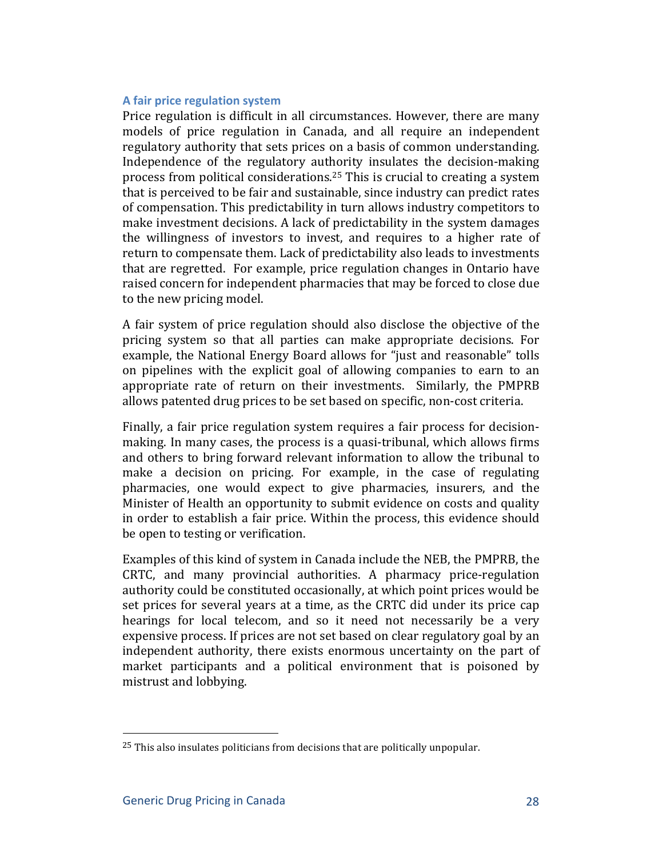#### **A** fair price regulation system

Price regulation is difficult in all circumstances. However, there are many models of price regulation in Canada, and all require an independent regulatory authority that sets prices on a basis of common understanding. Independence of the regulatory authority insulates the decision-making process from political considerations.<sup>25</sup> This is crucial to creating a system that is perceived to be fair and sustainable, since industry can predict rates of compensation. This predictability in turn allows industry competitors to make investment decisions. A lack of predictability in the system damages the willingness of investors to invest, and requires to a higher rate of return to compensate them. Lack of predictability also leads to investments that are regretted. For example, price regulation changes in Ontario have raised concern for independent pharmacies that may be forced to close due to the new pricing model.

A fair system of price regulation should also disclose the objective of the pricing system so that all parties can make appropriate decisions. For example, the National Energy Board allows for "just and reasonable" tolls on pipelines with the explicit goal of allowing companies to earn to an appropriate rate of return on their investments. Similarly, the PMPRB allows patented drug prices to be set based on specific, non-cost criteria.

Finally, a fair price regulation system requires a fair process for decisionmaking. In many cases, the process is a quasi-tribunal, which allows firms and others to bring forward relevant information to allow the tribunal to make a decision on pricing. For example, in the case of regulating pharmacies, one would expect to give pharmacies, insurers, and the Minister of Health an opportunity to submit evidence on costs and quality in order to establish a fair price. Within the process, this evidence should be open to testing or verification.

Examples of this kind of system in Canada include the NEB, the PMPRB, the CRTC, and many provincial authorities. A pharmacy price-regulation authority could be constituted occasionally, at which point prices would be set prices for several years at a time, as the CRTC did under its price cap hearings for local telecom, and so it need not necessarily be a very expensive process. If prices are not set based on clear regulatory goal by an independent authority, there exists enormous uncertainty on the part of market participants and a political environment that is poisoned by mistrust and lobbying.

 $25$  This also insulates politicians from decisions that are politically unpopular.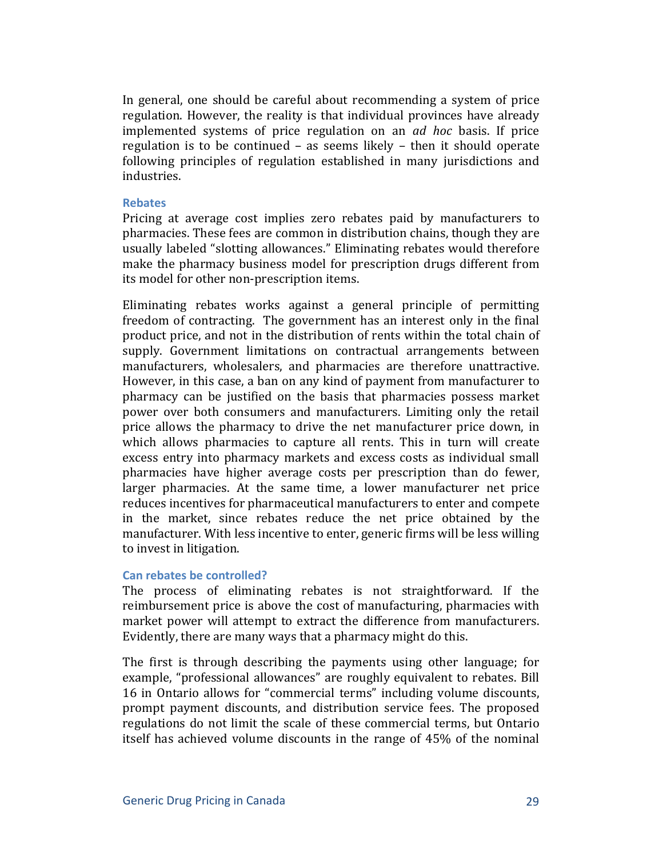In general, one should be careful about recommending a system of price regulation. However, the reality is that individual provinces have already implemented systems of price regulation on an *ad hoc* basis. If price regulation is to be continued – as seems likely – then it should operate following principles of regulation established in many jurisdictions and industries.

#### **Rebates**

Pricing at average cost implies zero rebates paid by manufacturers to pharmacies. These fees are common in distribution chains, though they are usually labeled "slotting allowances." Eliminating rebates would therefore make the pharmacy business model for prescription drugs different from its model for other non-prescription items.

Eliminating rebates works against a general principle of permitting freedom of contracting. The government has an interest only in the final product price, and not in the distribution of rents within the total chain of supply. Government limitations on contractual arrangements between manufacturers, wholesalers, and pharmacies are therefore unattractive. However, in this case, a ban on any kind of payment from manufacturer to pharmacy can be justified on the basis that pharmacies possess market power over both consumers and manufacturers. Limiting only the retail price allows the pharmacy to drive the net manufacturer price down, in which allows pharmacies to capture all rents. This in turn will create excess entry into pharmacy markets and excess costs as individual small pharmacies have higher average costs per prescription than do fewer, larger pharmacies. At the same time, a lower manufacturer net price reduces incentives for pharmaceutical manufacturers to enter and compete in the market, since rebates reduce the net price obtained by the manufacturer. With less incentive to enter, generic firms will be less willing to invest in litigation.

#### **Can rebates be controlled?**

The process of eliminating rebates is not straightforward. If the reimbursement price is above the cost of manufacturing, pharmacies with market power will attempt to extract the difference from manufacturers. Evidently, there are many ways that a pharmacy might do this.

The first is through describing the payments using other language; for example, "professional allowances" are roughly equivalent to rebates. Bill 16 in Ontario allows for "commercial terms" including volume discounts, prompt payment discounts, and distribution service fees. The proposed regulations do not limit the scale of these commercial terms, but Ontario itself has achieved volume discounts in the range of 45% of the nominal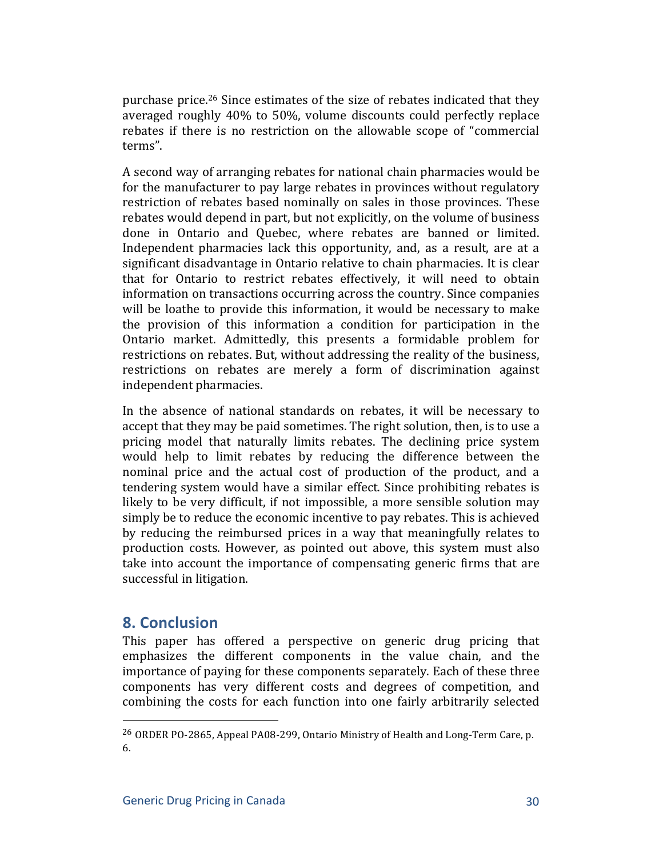purchase price.<sup>26</sup> Since estimates of the size of rebates indicated that they averaged roughly 40% to 50%, volume discounts could perfectly replace rebates if there is no restriction on the allowable scope of "commercial" terms".

A second way of arranging rebates for national chain pharmacies would be for the manufacturer to pay large rebates in provinces without regulatory restriction of rebates based nominally on sales in those provinces. These rebates would depend in part, but not explicitly, on the volume of business done in Ontario and Quebec, where rebates are banned or limited. Independent pharmacies lack this opportunity, and, as a result, are at a significant disadvantage in Ontario relative to chain pharmacies. It is clear that for Ontario to restrict rebates effectively, it will need to obtain information on transactions occurring across the country. Since companies will be loathe to provide this information, it would be necessary to make the provision of this information a condition for participation in the Ontario market. Admittedly, this presents a formidable problem for restrictions on rebates. But, without addressing the reality of the business, restrictions on rebates are merely a form of discrimination against independent pharmacies.

In the absence of national standards on rebates, it will be necessary to accept that they may be paid sometimes. The right solution, then, is to use a pricing model that naturally limits rebates. The declining price system would help to limit rebates by reducing the difference between the nominal price and the actual cost of production of the product, and a tendering system would have a similar effect. Since prohibiting rebates is likely to be very difficult, if not impossible, a more sensible solution may simply be to reduce the economic incentive to pay rebates. This is achieved by reducing the reimbursed prices in a way that meaningfully relates to production costs. However, as pointed out above, this system must also take into account the importance of compensating generic firms that are successful in litigation.

## **8. Conclusion**

This paper has offered a perspective on generic drug pricing that emphasizes the different components in the value chain, and the importance of paying for these components separately. Each of these three components has very different costs and degrees of competition, and combining the costs for each function into one fairly arbitrarily selected

<sup>&</sup>lt;sup>26</sup> ORDER PO-2865, Appeal PA08-299, Ontario Ministry of Health and Long-Term Care, p. 6.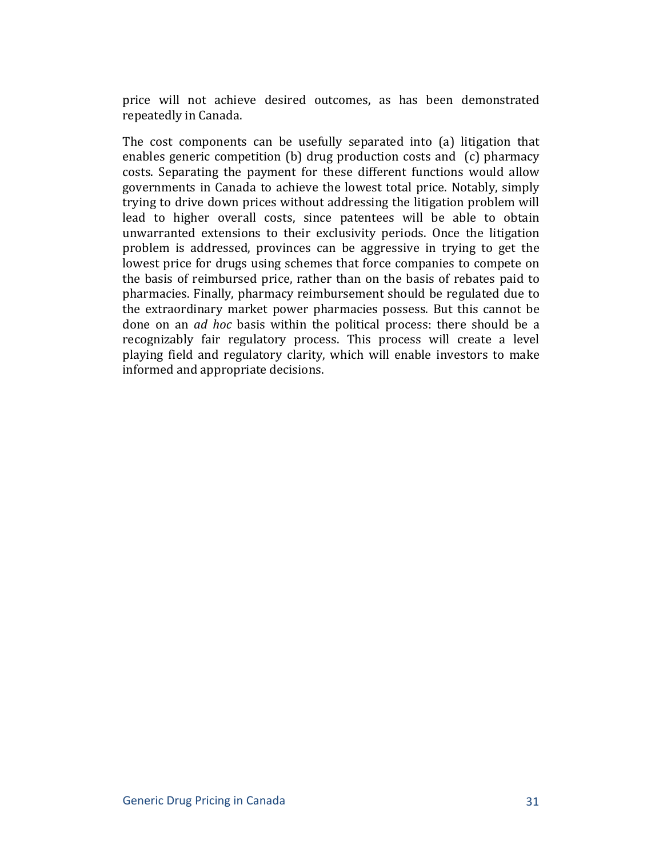price will not achieve desired outcomes, as has been demonstrated repeatedly in Canada.

The cost components can be usefully separated into  $(a)$  litigation that enables generic competition (b) drug production costs and (c) pharmacy costs. Separating the payment for these different functions would allow governments in Canada to achieve the lowest total price. Notably, simply trying to drive down prices without addressing the litigation problem will lead to higher overall costs, since patentees will be able to obtain unwarranted extensions to their exclusivity periods. Once the litigation problem is addressed, provinces can be aggressive in trying to get the lowest price for drugs using schemes that force companies to compete on the basis of reimbursed price, rather than on the basis of rebates paid to pharmacies. Finally, pharmacy reimbursement should be regulated due to the extraordinary market power pharmacies possess. But this cannot be done on an *ad hoc* basis within the political process: there should be a recognizably fair regulatory process. This process will create a level playing field and regulatory clarity, which will enable investors to make informed and appropriate decisions.